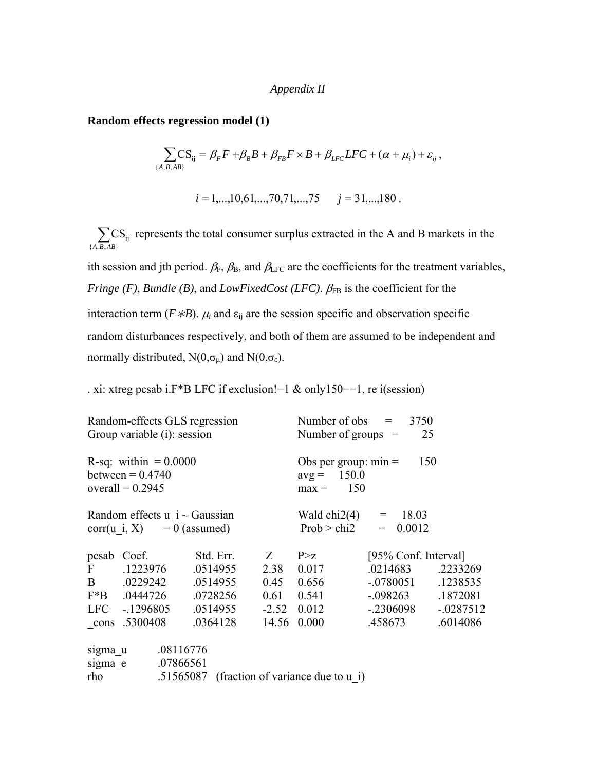#### *Appendix II*

**Random effects regression model (1)** 

$$
\sum_{\{A,B,AB\}}\!\!\!\!\!{\rm CS}_{ij}=\beta_{\scriptscriptstyle F}F+\beta_{\scriptscriptstyle B}B+\beta_{\scriptscriptstyle FB}F\times B+\beta_{\scriptscriptstyle LFC}LFC+(\alpha+\mu_i)+\varepsilon_{ij}\,,
$$

$$
i = 1, \ldots, 10, 61, \ldots, 70, 71, \ldots, 75
$$
  $j = 31, \ldots, 180$ .

 $\sum_{\{A,B,AB\}}$  $CS_{ij}$ *A B AB* represents the total consumer surplus extracted in the A and B markets in the

ith session and jth period.  $\beta_F$ ,  $\beta_B$ , and  $\beta_{LFC}$  are the coefficients for the treatment variables, *Fringe (F), Bundle (B), and <i>LowFixedCost (LFC)*.  $\beta_{FB}$  is the coefficient for the interaction term ( $F * B$ ).  $\mu_i$  and  $\varepsilon_{ij}$  are the session specific and observation specific random disturbances respectively, and both of them are assumed to be independent and normally distributed,  $N(0, \sigma_{\mu})$  and  $N(0, \sigma_{\epsilon})$ .

. xi: xtreg pcsab i.F\*B LFC if exclusion!=1 & only150==1, re i(session)

|              | Random-effects GLS regression<br>Group variable (i): session        |                            |                                                                  | Number of obs $=$<br>3750<br>Number of groups $=$<br>25 |                        |              |  |  |  |
|--------------|---------------------------------------------------------------------|----------------------------|------------------------------------------------------------------|---------------------------------------------------------|------------------------|--------------|--|--|--|
|              | R-sq: within $= 0.0000$<br>between $= 0.4740$<br>overall = $0.2945$ |                            | Obs per group: $min =$<br>150<br>$avg = 150.0$<br>150<br>$max =$ |                                                         |                        |              |  |  |  |
|              | Random effects $u$ i ~ Gaussian<br>$corr(u i, X) = 0$ (assumed)     |                            |                                                                  | Wald chi2(4) = $18.03$                                  | Prob > chi2 = $0.0012$ |              |  |  |  |
|              | pcsab Coef.                                                         | Std. Err.                  | Z                                                                | P > Z                                                   | [95% Conf. Interval]   |              |  |  |  |
| $\mathbf{F}$ | .1223976                                                            | .0514955                   |                                                                  | 2.38 0.017                                              | .0214683               | .2233269     |  |  |  |
|              | B .0229242 .0514955                                                 |                            |                                                                  | $0.45$ 0.656                                            | $-.0780051$            | .1238535     |  |  |  |
|              | F*B .0444726                                                        | .0728256                   | $0.61$ $0.541$                                                   |                                                         | $-.098263$             | .1872081     |  |  |  |
|              | LFC -.1296805                                                       | $.0514955$ $-2.52$ $0.012$ |                                                                  |                                                         | $-.2306098$            | $-0.0287512$ |  |  |  |
|              | cons .5300408                                                       | .0364128                   |                                                                  | 14.56 0.000                                             | .458673                | .6014086     |  |  |  |
| sigma u      | .08116776                                                           |                            |                                                                  |                                                         |                        |              |  |  |  |
|              | .07866561<br>sigma e                                                |                            |                                                                  |                                                         |                        |              |  |  |  |
| rho          |                                                                     |                            |                                                                  | .51565087 (fraction of variance due to u i)             |                        |              |  |  |  |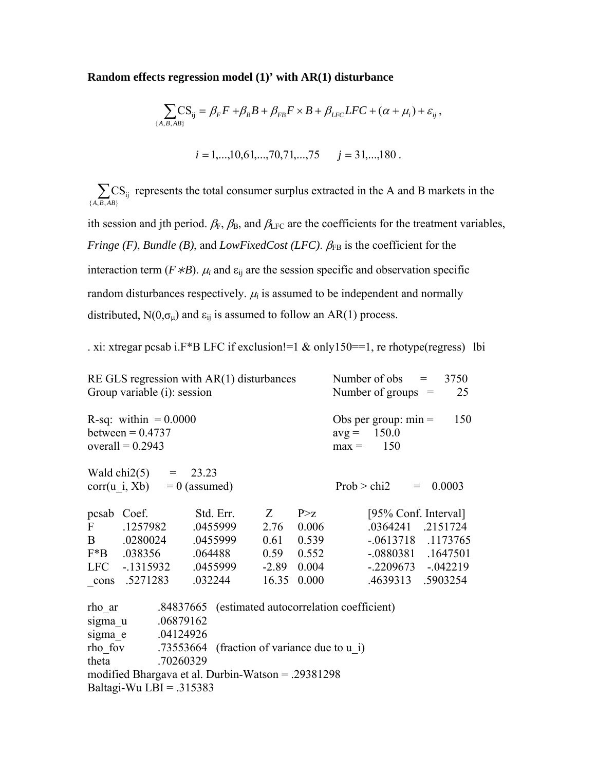#### **Random effects regression model (1)' with AR(1) disturbance**

$$
\sum_{\{A,B,AB\}} \text{CS}_{ij} = \beta_F F + \beta_B B + \beta_{FB} F \times B + \beta_{LFC} LFC + (\alpha + \mu_i) + \varepsilon_{ij},
$$
  

$$
i = 1,...,10,61,...,70,71,...,75 \qquad j = 31,...,180.
$$

 $\sum_{\{A,B,AB\}}$  $CS_{ij}$  $A$ ,  $B$ ,  $AB$ represents the total consumer surplus extracted in the A and B markets in the

ith session and jth period.  $\beta_F$ ,  $\beta_B$ , and  $\beta_{LFC}$  are the coefficients for the treatment variables, *Fringe (F), Bundle (B), and <i>LowFixedCost (LFC)*.  $\beta_{FB}$  is the coefficient for the interaction term ( $F * B$ ).  $\mu_i$  and  $\varepsilon_{ij}$  are the session specific and observation specific random disturbances respectively.  $\mu_i$  is assumed to be independent and normally distributed,  $N(0, \sigma_{\mu})$  and  $\varepsilon_{ij}$  is assumed to follow an AR(1) process.

. xi: xtregar pcsab i.F\*B LFC if exclusion!=1 & only150==1, re rhotype(regress) lbi

|              | RE GLS regression with $AR(1)$ disturbances<br>Group variable (i): session |           |         | Number of obs $=$<br>3750<br>Number of groups $=$<br>25 |                                                                  |
|--------------|----------------------------------------------------------------------------|-----------|---------|---------------------------------------------------------|------------------------------------------------------------------|
|              | R-sq: within $= 0.0000$<br>between = $0.4737$<br>overall = $0.2943$        |           |         |                                                         | Obs per group: $min =$<br>150<br>$avg = 150.0$<br>150<br>$max =$ |
|              | Wald chi2(5) = $23.23$<br>$corr(u i, Xb) = 0$ (assumed)                    |           |         |                                                         | 0.0003<br>Prob > chi2<br>$=$                                     |
| pcsab        | Coef.                                                                      | Std. Err. | $Z_{-}$ | P > Z                                                   | [95% Conf. Interval]                                             |
| $\mathbf{F}$ | .1257982                                                                   | .0455999  | 2.76    | 0.006                                                   | .0364241<br>.2151724                                             |
| $\mathbf{B}$ | .0280024                                                                   | .0455999  | 0.61    | 0.539                                                   | $-.0613718$ .1173765                                             |
|              | $F*B$ .038356                                                              | .064488   | 0.59    | 0.552                                                   | $-.0880381$ $.1647501$                                           |
|              | LFC -.1315932                                                              | .0455999  | $-2.89$ | 0.004                                                   | $-.2209673-.042219$                                              |
|              | cons .5271283                                                              | .032244   | 16.35   | 0.000                                                   | .4639313 .5903254                                                |
| rho ar       |                                                                            |           |         |                                                         | .84837665 (estimated autocorrelation coefficient)                |
| sigma u      | .06879162                                                                  |           |         |                                                         |                                                                  |
| sigma e      | .04124926                                                                  |           |         |                                                         |                                                                  |
|              | rho fov $.73553664$ (fraction of variance due to u i)                      |           |         |                                                         |                                                                  |
| theta        | .70260329                                                                  |           |         |                                                         |                                                                  |
|              | modified Bhargava et al. Durbin-Watson = .29381298                         |           |         |                                                         |                                                                  |

Baltagi-Wu LBI =  $.315383$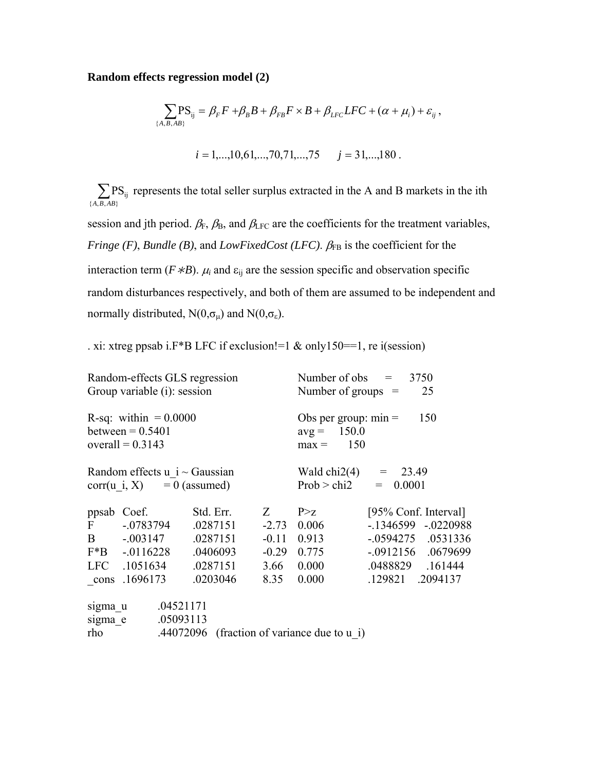## **Random effects regression model (2)**

$$
\sum_{\{A,B,AB\}} PS_{ij} = \beta_F F + \beta_B B + \beta_{FB} F \times B + \beta_{LFC} LFC + (\alpha + \mu_i) + \varepsilon_{ij},
$$
  

$$
i = 1,...,10,61,...,70,71,...,75 \qquad j = 31,...,180.
$$

 $\sum_{\{A,B,AB\}} P$  $\overline{\mathrm{PS}}_{\mathrm{ij}}$ *A B AB* represents the total seller surplus extracted in the A and B markets in the ith

session and jth period.  $\beta_F$ ,  $\beta_B$ , and  $\beta_{LFC}$  are the coefficients for the treatment variables, *Fringe (F), Bundle (B), and <i>LowFixedCost (LFC)*.  $β_{FB}$  is the coefficient for the interaction term ( $F * B$ ).  $\mu_i$  and  $\varepsilon_{ij}$  are the session specific and observation specific random disturbances respectively, and both of them are assumed to be independent and normally distributed,  $N(0, \sigma_{\mu})$  and  $N(0, \sigma_{\epsilon})$ .

. xi: xtreg ppsab i.F\*B LFC if exclusion!=1 & only150==1, re i(session)

|                    | Random-effects GLS regression<br>Group variable (i): session                |                                                           |                                                             | Number of $obs =$<br>3750<br>Number of groups $=$<br>25          |                                                                                                                       |  |  |  |
|--------------------|-----------------------------------------------------------------------------|-----------------------------------------------------------|-------------------------------------------------------------|------------------------------------------------------------------|-----------------------------------------------------------------------------------------------------------------------|--|--|--|
|                    | R-sq: within $= 0.0000$<br>between $= 0.5401$<br>overall = $0.3143$         |                                                           |                                                             | Obs per group: $min =$<br>150<br>$avg = 150.0$<br>150<br>$max =$ |                                                                                                                       |  |  |  |
|                    | Random effects $u$ i ~ Gaussian<br>$corr(u i, X) = 0$ (assumed)             |                                                           | Wald chi2(4) = $23.49$<br>Prob > chi2<br>0.0001<br>$=$ $\,$ |                                                                  |                                                                                                                       |  |  |  |
| $\mathbf{F}$       | ppsab Coef.<br>$-.0783794$<br>B -.003147<br>$F*B$ -.0116228<br>LFC .1051634 | Std. Err.<br>.0287151<br>.0287151<br>.0406093<br>.0287151 | Z<br>$-0.11$ 0.913<br>3.66                                  | P > z<br>$-2.73$ 0.006<br>$-0.29$ 0.775<br>0.000                 | [95% Conf. Interval]<br>$-.1346599$ $-.0220988$<br>$-0.0594275$ .0531336<br>$-0.0912156$ .0679699<br>.0488829 .161444 |  |  |  |
| sigma u<br>sigma e | cons .1696173<br>.04521171<br>.05093113                                     | .0203046                                                  | 8.35                                                        | 0.000                                                            | .129821 .2094137                                                                                                      |  |  |  |
| rho                |                                                                             |                                                           |                                                             | .44072096 (fraction of variance due to $u$ i)                    |                                                                                                                       |  |  |  |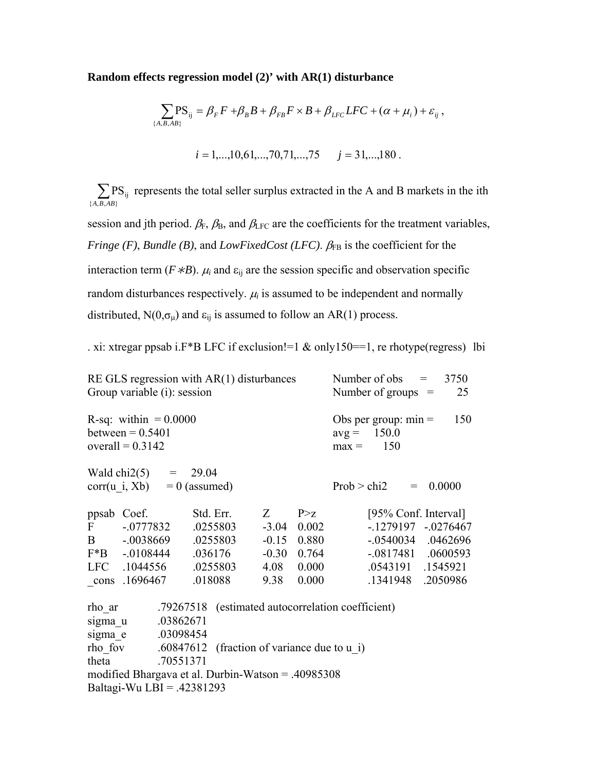#### **Random effects regression model (2)' with AR(1) disturbance**

$$
\sum_{\{A,B,AB\}} PS_{ij} = \beta_F F + \beta_B B + \beta_{FB} F \times B + \beta_{LFC} LFC + (\alpha + \mu_i) + \varepsilon_{ij},
$$
  

$$
i = 1,...,10,61,...,70,71,...,75 \qquad j = 31,...,180.
$$

 $\sum_{\{A,B,AB\}} P$  $\overline{\mathrm{PS}}_{\mathrm{ij}}$ *A B AB* represents the total seller surplus extracted in the A and B markets in the ith

session and jth period.  $\beta_F$ ,  $\beta_B$ , and  $\beta_{LFC}$  are the coefficients for the treatment variables, *Fringe (F), Bundle (B), and <i>LowFixedCost (LFC)*.  $\beta_{FB}$  is the coefficient for the interaction term ( $F * B$ ).  $\mu_i$  and  $\varepsilon_{ij}$  are the session specific and observation specific random disturbances respectively.  $\mu_i$  is assumed to be independent and normally distributed,  $N(0, \sigma_{\mu})$  and  $\varepsilon_{ij}$  is assumed to follow an AR(1) process.

. xi: xtregar ppsab i.F\*B LFC if exclusion!=1 & only150==1, re rhotype(regress) lbi

|         | RE GLS regression with $AR(1)$ disturbances<br>Group variable (i): session |                 |                    | Number of obs                                     | Number of groups $=$ | $=$         | 3750<br>25            |  |          |
|---------|----------------------------------------------------------------------------|-----------------|--------------------|---------------------------------------------------|----------------------|-------------|-----------------------|--|----------|
|         | R-sq: within $= 0.0000$<br>between $= 0.5401$<br>overall = $0.3142$        |                 | $avg =$<br>$max =$ | Obs per group: $min =$<br>150.0<br>150            |                      | 150         |                       |  |          |
|         | Wald chi2(5) = $29.04$<br>corr(u i, Xb)                                    | $= 0$ (assumed) |                    |                                                   |                      | Prob > chi2 |                       |  | 0.0000   |
| ppsab   | Coef.                                                                      |                 | Std. Err.          | Z                                                 | P > Z                |             | [95% Conf. Interval]  |  |          |
| F       | $-.0777832$                                                                |                 | .0255803           | $-3.04$                                           | 0.002                |             | $-.1279197-.0276467$  |  |          |
| B       | $-.0038669$                                                                |                 | .0255803           | $-0.15$                                           | 0.880                |             | $-0.0540034$ .0462696 |  |          |
|         | $F*B$ -.0108444                                                            |                 | .036176            | $-0.30$                                           | 0.764                |             | $-.0817481$ .0600593  |  |          |
|         | LFC .1044556                                                               |                 | .0255803           | 4.08                                              | 0.000                |             | .0543191 .1545921     |  |          |
| cons    | .1696467                                                                   |                 | .018088            | 9.38                                              | 0.000                |             | .1341948              |  | .2050986 |
| rho ar  |                                                                            |                 |                    | .79267518 (estimated autocorrelation coefficient) |                      |             |                       |  |          |
| sigma u |                                                                            | .03862671       |                    |                                                   |                      |             |                       |  |          |
| sigma e | .03098454                                                                  |                 |                    |                                                   |                      |             |                       |  |          |
| rho fov |                                                                            | .60847612       |                    | (fraction of variance due to u i)                 |                      |             |                       |  |          |
| theta   |                                                                            | .70551371       |                    |                                                   |                      |             |                       |  |          |
|         |                                                                            |                 |                    |                                                   |                      |             |                       |  |          |

modified Bhargava et al. Durbin-Watson = .40985308 Baltagi-Wu LBI = .42381293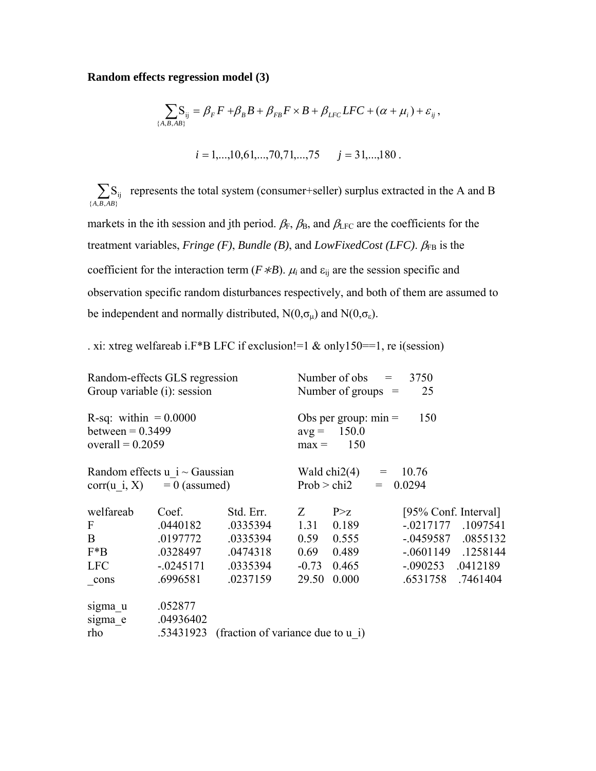## **Random effects regression model (3)**

$$
\sum_{\{A,B,AB\}} S_{ij} = \beta_F F + \beta_B B + \beta_{FB} F \times B + \beta_{LFC} LFC + (\alpha + \mu_i) + \varepsilon_{ij},
$$
  

$$
i = 1,...,10,61,...,70,71,...,75 \qquad j = 31,...,180.
$$

 $\sum_{\{A,B,AB\}}$  $S_{ij}$ *A B AB* represents the total system (consumer+seller) surplus extracted in the A and B markets in the ith session and jth period.  $\beta_F$ ,  $\beta_B$ , and  $\beta_{LFC}$  are the coefficients for the

treatment variables, *Fringe (F)*, *Bundle (B)*, and *LowFixedCost (LFC)*.  $β_{FB}$  is the coefficient for the interaction term ( $F * B$ ).  $\mu_i$  and  $\varepsilon_{ij}$  are the session specific and observation specific random disturbances respectively, and both of them are assumed to be independent and normally distributed,  $N(0,\sigma_\mu)$  and  $N(0,\sigma_\epsilon)$ .

. xi: xtreg welfareab i.F\*B LFC if exclusion!=1 & only150==1, re i(session)

|                                 | Random-effects GLS regression |                                             |         | Number of obs<br>3750<br>$=$  |  |                          |          |  |  |  |
|---------------------------------|-------------------------------|---------------------------------------------|---------|-------------------------------|--|--------------------------|----------|--|--|--|
|                                 | Group variable (i): session   |                                             |         | Number of groups $=$          |  | 25                       |          |  |  |  |
| R-sq: within $= 0.0000$         |                               |                                             |         | Obs per group: $min =$<br>150 |  |                          |          |  |  |  |
| between $= 0.3499$              |                               |                                             |         | 150.0<br>$avg =$              |  |                          |          |  |  |  |
| overall = $0.2059$              |                               |                                             | $max =$ | 150                           |  |                          |          |  |  |  |
| Random effects $u$ i ~ Gaussian | Wald chi2(4) $=$<br>10.76     |                                             |         |                               |  |                          |          |  |  |  |
| $corr(u i, X) = 0$ (assumed)    |                               | Prob > chi2                                 | $=$     | 0.0294                        |  |                          |          |  |  |  |
| welfareab                       | Coef.                         | Std. Err.                                   | Z –     | P > z                         |  | [95% Conf. Interval]     |          |  |  |  |
| F                               | .0440182                      | .0335394                                    | 1.31    | 0.189                         |  | $-0.0217177$ .1097541    |          |  |  |  |
| $\mathbf{B}$                    | .0197772                      | .0335394                                    | 0.59    | 0.555                         |  | $-0.0459587$ $0.0855132$ |          |  |  |  |
| $F^*B$                          | .0328497                      | .0474318                                    | 0.69    | 0.489                         |  | $-0.0601149$ .1258144    |          |  |  |  |
| <b>LFC</b>                      | $-.0245171$                   | .0335394                                    | $-0.73$ | 0.465                         |  | $-.090253$               | .0412189 |  |  |  |
| cons                            | .6996581                      | .0237159                                    | 29.50   | 0.000                         |  | .6531758                 | .7461404 |  |  |  |
| sigma u                         | .052877                       |                                             |         |                               |  |                          |          |  |  |  |
| sigma e                         | .04936402                     |                                             |         |                               |  |                          |          |  |  |  |
| rho                             |                               | .53431923 (fraction of variance due to u i) |         |                               |  |                          |          |  |  |  |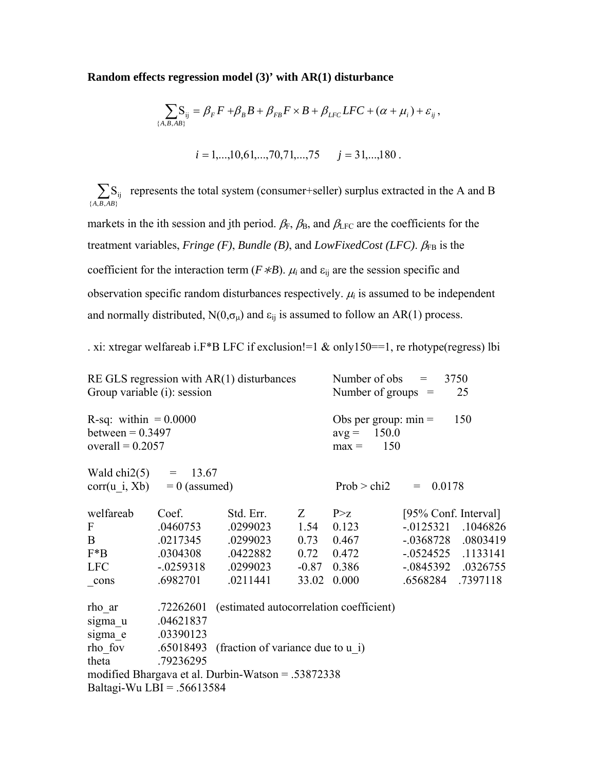#### **Random effects regression model (3)' with AR(1) disturbance**

$$
\sum_{\{A,B,AB\}} S_{ij} = \beta_F F + \beta_B B + \beta_{FB} F \times B + \beta_{LFC} LFC + (\alpha + \mu_i) + \varepsilon_{ij},
$$
  

$$
i = 1,...,10,61,...,70,71,...,75 \qquad j = 31,...,180.
$$

 $\sum_{\{A,B,AB\}}$  $S_{ij}$ *A B AB* represents the total system (consumer+seller) surplus extracted in the A and B markets in the ith session and jth period.  $\beta_F$ ,  $\beta_B$ , and  $\beta_{LFC}$  are the coefficients for the treatment variables, *Fringe (F)*, *Bundle (B)*, and *LowFixedCost (LFC)*.  $β_{FB}$  is the coefficient for the interaction term ( $F * B$ ).  $\mu_i$  and  $\varepsilon_{ij}$  are the session specific and

observation specific random disturbances respectively.  $\mu_i$  is assumed to be independent and normally distributed,  $N(0, \sigma_{\mu})$  and  $\varepsilon_{ij}$  is assumed to follow an AR(1) process.

. xi: xtregar welfareab i.F\*B LFC if exclusion!=1  $\&$  only150==1, re rhotype(regress) lbi

| Group variable (i): session                                         |           | $RE GLS$ regression with $AR(1)$ disturbances      | Number of obs<br>3750<br>$=$<br>Number of groups $=$<br>25 |                    |                       |          |  |
|---------------------------------------------------------------------|-----------|----------------------------------------------------|------------------------------------------------------------|--------------------|-----------------------|----------|--|
| R-sq: within $= 0.0000$<br>between $= 0.3497$<br>overall = $0.2057$ |           |                                                    | Obs per group: $min =$<br>$avg = 150.0$<br>$max = 150$     |                    | 150                   |          |  |
| Wald chi2(5) = $13.67$<br>$corr(u i, Xb) = 0$ (assumed)             |           |                                                    |                                                            | Prob > chi2        | $= 0.0178$            |          |  |
| welfareab                                                           | Coef.     | Std. Err.                                          | Z                                                          | P > z              | [95% Conf. Interval]  |          |  |
| F                                                                   | .0460753  | .0299023                                           | 1.54                                                       | 0.123              | $-0.0125321$ .1046826 |          |  |
| $\mathbf{B}$                                                        | .0217345  | .0299023                                           |                                                            | $0.73$ 0.467       | -.0368728 .0803419    |          |  |
| F*B                                                                 | .0304308  | .0422882                                           |                                                            | $0.72 \quad 0.472$ | $-0.0524525$ .1133141 |          |  |
| <b>LFC</b>                                                          |           | $-0.0259318$ $0.0299023$                           |                                                            | $-0.87$ 0.386      | $-0845392$ .0326755   |          |  |
| cons                                                                | .6982701  | .0211441                                           | 33.02                                                      | 0.000              | .6568284              | .7397118 |  |
| rho_ar                                                              | .72262601 | (estimated autocorrelation coefficient)            |                                                            |                    |                       |          |  |
| sigma u                                                             | .04621837 |                                                    |                                                            |                    |                       |          |  |
| sigma e                                                             | .03390123 |                                                    |                                                            |                    |                       |          |  |
| rho fov .65018493                                                   |           | (fraction of variance due to u i)                  |                                                            |                    |                       |          |  |
| theta                                                               | .79236295 |                                                    |                                                            |                    |                       |          |  |
|                                                                     |           | modified Bhargava et al. Durbin-Watson = .53872338 |                                                            |                    |                       |          |  |
| Baltagi-Wu LBI = $.56613584$                                        |           |                                                    |                                                            |                    |                       |          |  |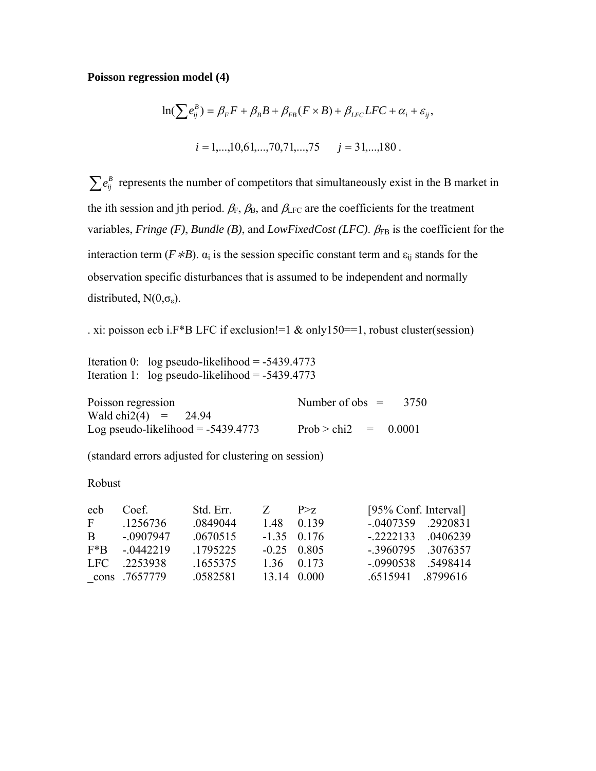### **Poisson regression model (4)**

$$
\ln(\sum e_{ij}^{B}) = \beta_{F}F + \beta_{B}B + \beta_{FB}(F \times B) + \beta_{LFC}LFC + \alpha_{i} + \varepsilon_{ij},
$$
  

$$
i = 1,...,10,61,...,70,71,...,75 \qquad j = 31,...,180.
$$

 $\sum e_{ij}^B$  represents the number of competitors that simultaneously exist in the B market in the ith session and jth period.  $\beta_F$ ,  $\beta_B$ , and  $\beta_{LFC}$  are the coefficients for the treatment variables, *Fringe (F)*, *Bundle (B)*, and *LowFixedCost (LFC)*. βFB is the coefficient for the interaction term ( $F * B$ ).  $\alpha_i$  is the session specific constant term and  $\varepsilon_{ij}$  stands for the observation specific disturbances that is assumed to be independent and normally distributed,  $N(0,\sigma_{\epsilon})$ .

. xi: poisson ecb i.F\*B LFC if exclusion!=1 & only150==1, robust cluster(session)

Iteration 0: log pseudo-likelihood =  $-5439.4773$ Iteration 1: log pseudo-likelihood =  $-5439.4773$ 

| Poisson regression                   | Number of obs $=$      | 3750 |
|--------------------------------------|------------------------|------|
| Wald chi2(4) = 24.94                 |                        |      |
| Log pseudo-likelihood = $-5439.4773$ | Prob > chi2 = $0.0001$ |      |

(standard errors adjusted for clustering on session)

#### Robust

| ech          | Coef          | Std. Err. | Z                   | P > z       | [95% Conf. Interval]  |  |
|--------------|---------------|-----------|---------------------|-------------|-----------------------|--|
| F            | .1256736      | .0849044  | 148                 | 0 1 3 9     | $-0407359$ .2920831   |  |
| $\mathbf{B}$ | $-0.907947$   | .0670515  | $-1.35$ 0.176       |             | $-2222133$ .0406239   |  |
| $F^*B$       | $-0.442219$   | .1795225  | $-0.25 \quad 0.805$ |             | $-3960795$ $.3076357$ |  |
| LFC.         | .2253938      | .1655375  |                     | 1.36 0.173  | $-0.0990538$ .5498414 |  |
|              | cons .7657779 | .0582581  |                     | 13.14 0.000 | .6515941 .8799616     |  |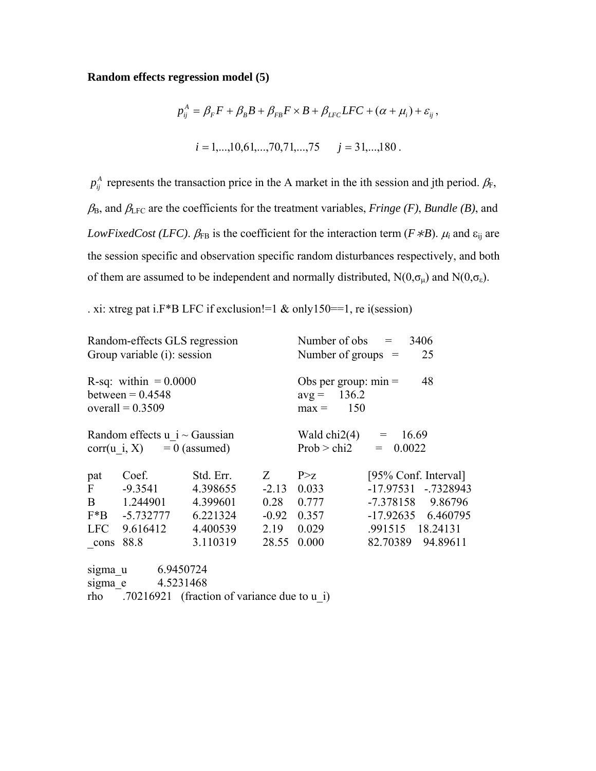### **Random effects regression model (5)**

$$
p_{ij}^{A} = \beta_{F}F + \beta_{B}B + \beta_{FB}F \times B + \beta_{LFC}LFC + (\alpha + \mu_{i}) + \varepsilon_{ij},
$$
  

$$
i = 1,...,10,61,...,70,71,...,75 \qquad j = 31,...,180.
$$

 $p_{ij}^A$  represents the transaction price in the A market in the ith session and jth period.  $\beta_F$ ,  $\beta_B$ , and  $\beta_{\text{LFC}}$  are the coefficients for the treatment variables, *Fringe (F)*, *Bundle (B)*, and *LowFixedCost (LFC).*  $\beta_{FB}$  is the coefficient for the interaction term ( $F \nless B$ ).  $\mu_i$  and  $\varepsilon_{ij}$  are the session specific and observation specific random disturbances respectively, and both of them are assumed to be independent and normally distributed,  $N(0,\sigma_\mu)$  and  $N(0,\sigma_\epsilon)$ .

. xi: xtreg pat i.F\*B LFC if exclusion!=1 & only150==1, re i(session)

|                     | Random-effects GLS regression<br>Group variable (i): session                                  |                                   |                                                              | Number of obs $=$<br>3406<br>25<br>Number of groups $=$ |                                                                                          |  |  |  |
|---------------------|-----------------------------------------------------------------------------------------------|-----------------------------------|--------------------------------------------------------------|---------------------------------------------------------|------------------------------------------------------------------------------------------|--|--|--|
|                     | R-sq: within $= 0.0000$<br>between $= 0.4548$<br>overall = $0.3509$                           |                                   | Obs per group: $min =$<br>48<br>$avg = 136.2$<br>$max = 150$ |                                                         |                                                                                          |  |  |  |
|                     | Random effects $u$ i ~ Gaussian<br>$corr(u i, X) = 0$ (assumed)                               |                                   | Wald chi2(4) = $16.69$<br>Prob > chi2<br>0.0022<br>$=$       |                                                         |                                                                                          |  |  |  |
| pat<br>$\mathbf{F}$ | Coef.<br>$-9.3541$<br>B 1.244901<br>$F*B$ -5.732777 6.221324                                  | Std. Err.<br>4.398655<br>4.399601 | $Z =$                                                        | P > Z<br>$-2.13$ 0.033<br>$0.28$ 0.777<br>$-0.92$ 0.357 | [95% Conf. Interval]<br>-17.97531 -.7328943<br>-7.378158 9.86796<br>$-17.92635$ 6.460795 |  |  |  |
| <b>LFC</b><br>cons  | 9.616412<br>88.8                                                                              | 4.400539<br>3.110319              | 2.19<br>28.55                                                | 0.029<br>0.000                                          | .991515 18.24131<br>82.70389 94.89611                                                    |  |  |  |
|                     | sigma_u 6.9450724<br>sigma e 4.5231468<br>rho .70216921 (fraction of variance due to $\mu$ i) |                                   |                                                              |                                                         |                                                                                          |  |  |  |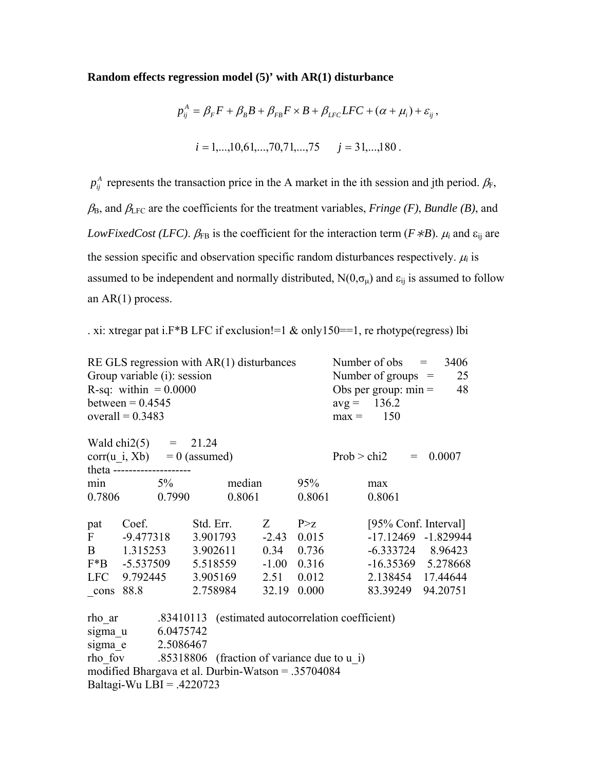#### **Random effects regression model (5)' with AR(1) disturbance**

$$
p_{ij}^{A} = \beta_{F}F + \beta_{B}B + \beta_{FB}F \times B + \beta_{LFC}LFC + (\alpha + \mu_{i}) + \varepsilon_{ij},
$$
  

$$
i = 1,...,10,61,...,70,71,...,75 \qquad j = 31,...,180.
$$

 $p_{ij}^A$  represents the transaction price in the A market in the ith session and jth period.  $\beta_F$ ,  $\beta_B$ , and  $\beta_{\text{LFC}}$  are the coefficients for the treatment variables, *Fringe (F)*, *Bundle (B)*, and *LowFixedCost (LFC).*  $\beta_{FB}$  is the coefficient for the interaction term ( $F \nless B$ ).  $\mu_i$  and  $\varepsilon_{ij}$  are the session specific and observation specific random disturbances respectively.  $\mu_i$  is assumed to be independent and normally distributed,  $N(0, \sigma_{\mu})$  and  $\epsilon_{ij}$  is assumed to follow an AR(1) process.

. xi: xtregar pat i.F\*B LFC if exclusion!=1 & only150==1, re rhotype(regress) lbi

| RE GLS regression with $AR(1)$ disturbances<br>Group variable (i): session<br>R-sq: within $= 0.0000$<br>between = $0.4545$<br>overall = $0.3483$<br>Wald chi2(5) = $21.24$                                     |                                  |  |           |                     |                     |                     |  | Number of obs $=$<br>3406<br>Number of groups $=$<br>25<br>Obs per group: $min =$<br>48<br>$avg = 136.2$<br>$max = 150$ |     |                      |  |
|-----------------------------------------------------------------------------------------------------------------------------------------------------------------------------------------------------------------|----------------------------------|--|-----------|---------------------|---------------------|---------------------|--|-------------------------------------------------------------------------------------------------------------------------|-----|----------------------|--|
|                                                                                                                                                                                                                 |                                  |  |           |                     |                     |                     |  |                                                                                                                         |     |                      |  |
|                                                                                                                                                                                                                 | $corr(u_i, Xb) = 0$ (assumed)    |  |           |                     |                     |                     |  | Prob > chi2                                                                                                             | $=$ | 0.0007               |  |
|                                                                                                                                                                                                                 | theta --------------------       |  |           |                     |                     |                     |  |                                                                                                                         |     |                      |  |
|                                                                                                                                                                                                                 | $\min$ 5%                        |  |           | median              |                     | 95%                 |  | max                                                                                                                     |     |                      |  |
|                                                                                                                                                                                                                 | 0.7806 0.7990                    |  |           | 0.8061              |                     | 0.8061              |  | 0.8061                                                                                                                  |     |                      |  |
| pat Coef.                                                                                                                                                                                                       |                                  |  | Std. Err. |                     | $Z \qquad P \geq Z$ |                     |  |                                                                                                                         |     | [95% Conf. Interval] |  |
|                                                                                                                                                                                                                 | F -9.477318                      |  |           | 3.901793            |                     | $-2.43$ 0.015       |  |                                                                                                                         |     | -17.12469 -1.829944  |  |
|                                                                                                                                                                                                                 | B 1.315253                       |  |           | 3.902611 0.34 0.736 |                     |                     |  |                                                                                                                         |     | $-6.333724$ 8.96423  |  |
|                                                                                                                                                                                                                 | $F*B$ -5.537509                  |  |           | 5.518559            |                     | $-1.00 \quad 0.316$ |  |                                                                                                                         |     | -16.35369 5.278668   |  |
|                                                                                                                                                                                                                 | LFC 9.792445 3.905169 2.51 0.012 |  |           |                     |                     |                     |  |                                                                                                                         |     | 2.138454 17.44644    |  |
| $cons$ 88.8                                                                                                                                                                                                     |                                  |  | 2.758984  |                     | 32.19               | 0.000               |  |                                                                                                                         |     | 83.39249 94.20751    |  |
| rho ar .83410113 (estimated autocorrelation coefficient)<br>sigma u 6.0475742<br>sigma e 2.5086467<br>rho fov .85318806 (fraction of variance due to u i)<br>modified Bhargava et al. Durbin-Watson = .35704084 |                                  |  |           |                     |                     |                     |  |                                                                                                                         |     |                      |  |
|                                                                                                                                                                                                                 | Baltagi-Wu LBI = $.4220723$      |  |           |                     |                     |                     |  |                                                                                                                         |     |                      |  |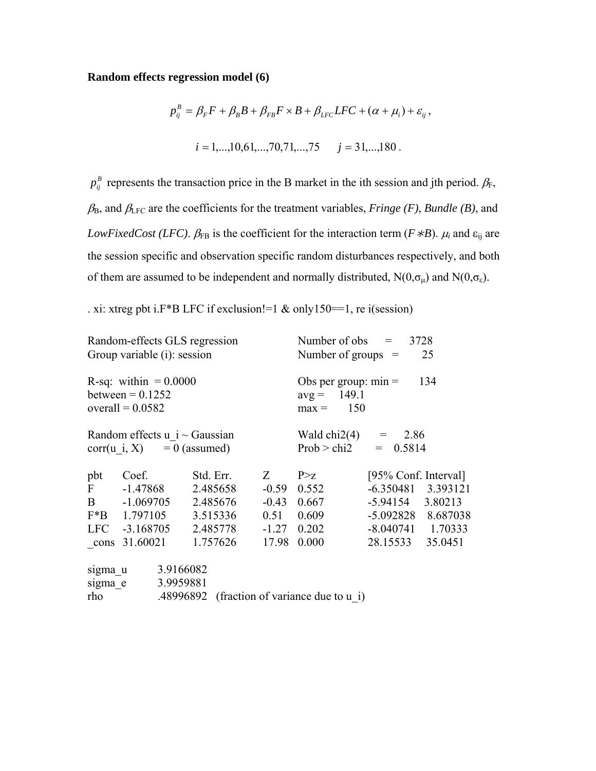### **Random effects regression model (6)**

$$
p_{ij}^{B} = \beta_{F} F + \beta_{B} B + \beta_{FB} F \times B + \beta_{LFC} LFC + (\alpha + \mu_{i}) + \varepsilon_{ij},
$$
  

$$
i = 1,...,10,61,...,70,71,...,75 \qquad j = 31,...,180.
$$

 $p_{ij}^B$  represents the transaction price in the B market in the ith session and jth period.  $\beta_F$ ,  $\beta_B$ , and  $\beta_{\text{LFC}}$  are the coefficients for the treatment variables, *Fringe (F)*, *Bundle (B)*, and *LowFixedCost (LFC).*  $\beta_{FB}$  is the coefficient for the interaction term ( $F \nless B$ ).  $\mu_i$  and  $\varepsilon_{ij}$  are the session specific and observation specific random disturbances respectively, and both of them are assumed to be independent and normally distributed,  $N(0,\sigma_\mu)$  and  $N(0,\sigma_\epsilon)$ .

. xi: xtreg pbt i.F\*B LFC if exclusion!=1 & only150==1, re i(session)

|                                                                     | Random-effects GLS regression<br>Group variable (i): session |           |           |          |                                                    | Number of obs $=$<br>3728<br>Number of groups $=$<br>25       |  |  |                      |  |
|---------------------------------------------------------------------|--------------------------------------------------------------|-----------|-----------|----------|----------------------------------------------------|---------------------------------------------------------------|--|--|----------------------|--|
| R-sq: within $= 0.0000$<br>between $= 0.1252$<br>overall = $0.0582$ |                                                              |           |           |          |                                                    | Obs per group: $min =$<br>134<br>$avg = 149.1$<br>$max = 150$ |  |  |                      |  |
| Random effects $u$ i ~ Gaussian<br>$corr(u i, X) = 0$ (assumed)     |                                                              |           |           |          | Wald chi2(4) = $2.86$<br>Prob > chi2<br>$= 0.5814$ |                                                               |  |  |                      |  |
| pbt                                                                 | Coef.                                                        |           | Std. Err. |          | $Z =$                                              | P > Z                                                         |  |  | [95% Conf. Interval] |  |
| $\mathbf{F}$                                                        | $-1.47868$                                                   |           |           | 2.485658 | $-0.59$                                            | 0.552                                                         |  |  | $-6.350481$ 3.393121 |  |
|                                                                     | B -1.069705                                                  |           |           | 2.485676 | $-0.43$                                            | 0.667                                                         |  |  | $-5.94154$ $3.80213$ |  |
|                                                                     | $F*B$ 1.797105                                               |           |           | 3.515336 | 0.51                                               | 0.609                                                         |  |  | -5.092828 8.687038   |  |
| <b>LFC</b>                                                          | $-3.168705$                                                  |           |           | 2.485778 | $-1.27$                                            | 0.202                                                         |  |  | $-8.040741$ 1.70333  |  |
| cons                                                                | 31.60021                                                     |           |           | 1.757626 | 17.98                                              | 0.000                                                         |  |  | 28.15533 35.0451     |  |
| sigma u                                                             |                                                              | 3.9166082 |           |          |                                                    |                                                               |  |  |                      |  |
| 3.9959881<br>sigma e                                                |                                                              |           |           |          |                                                    |                                                               |  |  |                      |  |
| rho                                                                 |                                                              |           |           |          |                                                    | .48996892 (fraction of variance due to u i)                   |  |  |                      |  |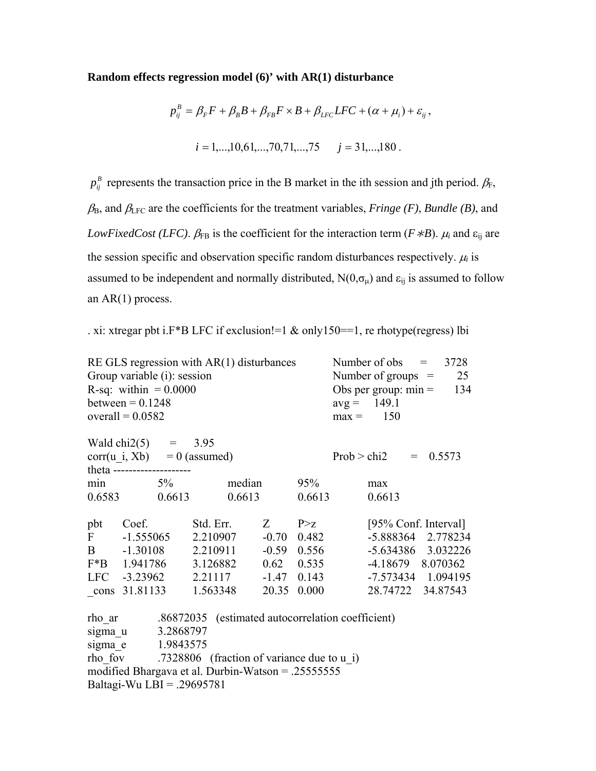#### **Random effects regression model (6)' with AR(1) disturbance**

$$
p_{ij}^{B} = \beta_{F}F + \beta_{B}B + \beta_{FB}F \times B + \beta_{LFC}LFC + (\alpha + \mu_{i}) + \varepsilon_{ij},
$$
  

$$
i = 1,...,10,61,...,70,71,...,75 \qquad j = 31,...,180.
$$

 $p_{ij}^B$  represents the transaction price in the B market in the ith session and jth period.  $\beta_F$ ,  $\beta_B$ , and  $\beta_{\text{LFC}}$  are the coefficients for the treatment variables, *Fringe (F)*, *Bundle (B)*, and *LowFixedCost (LFC).*  $\beta_{FB}$  is the coefficient for the interaction term ( $F \nless B$ ).  $\mu_i$  and  $\varepsilon_{ij}$  are the session specific and observation specific random disturbances respectively.  $\mu_i$  is assumed to be independent and normally distributed,  $N(0, \sigma_{\mu})$  and  $\varepsilon_{ij}$  is assumed to follow an AR(1) process.

. xi: xtregar pbt i.F\*B LFC if exclusion!=1 & only150==1, re rhotype(regress) lbi

|     | Group variable (i): session<br>R-sq: within $= 0.0000$<br>between $= 0.1248$ |           | RE GLS regression with $AR(1)$ disturbances |                                                          | Number of obs $=$<br>3728<br>Number of groups $=$<br>25<br>Obs per group: $min =$<br>134<br>$avg = 149.1$ |  |             |                      |
|-----|------------------------------------------------------------------------------|-----------|---------------------------------------------|----------------------------------------------------------|-----------------------------------------------------------------------------------------------------------|--|-------------|----------------------|
|     | overall = $0.0582$                                                           |           |                                             |                                                          |                                                                                                           |  | $max = 150$ |                      |
|     | Wald chi2(5) = $3.95$<br>theta ---------------------                         |           | $corr(u_i, Xb) = 0$ (assumed)               |                                                          |                                                                                                           |  | Prob > chi2 | $= 0.5573$           |
|     | $\min$ 5%                                                                    |           |                                             | median                                                   | 95%                                                                                                       |  | max         |                      |
|     | 0.6583 0.6613                                                                |           |                                             | 0.6613                                                   | 0.6613                                                                                                    |  | 0.6613      |                      |
| pbt | Coef.                                                                        |           | Std. Err.                                   |                                                          | $Z \qquad P \geq Z$                                                                                       |  |             | [95% Conf. Interval] |
|     | $F = -1.555065$                                                              |           | 2.210907                                    |                                                          | $-0.70$ 0.482                                                                                             |  |             | -5.888364 2.778234   |
|     |                                                                              |           | B -1.30108 2.210911                         |                                                          | $-0.59$ 0.556                                                                                             |  |             | $-5.634386$ 3.032226 |
|     | F*B 1.941786                                                                 |           | 3.126882                                    |                                                          | $0.62 \quad 0.535$                                                                                        |  |             | $-4.18679$ 8.070362  |
|     |                                                                              |           | LFC -3.23962 2.21117                        |                                                          | $-1.47$ 0.143                                                                                             |  |             | -7.573434 1.094195   |
|     | cons 31.81133                                                                |           | 1.563348                                    | 20.35                                                    | 0.000                                                                                                     |  |             | 28.74722 34.87543    |
|     |                                                                              |           |                                             | rho ar .86872035 (estimated autocorrelation coefficient) |                                                                                                           |  |             |                      |
|     | sigma_u                                                                      | 3.2868797 |                                             |                                                          |                                                                                                           |  |             |                      |
|     | sigma e 1.9843575                                                            |           |                                             |                                                          |                                                                                                           |  |             |                      |
|     |                                                                              |           |                                             | rho fov .7328806 (fraction of variance due to u i)       |                                                                                                           |  |             |                      |
|     |                                                                              |           |                                             | modified Bhargava et al. Durbin-Watson = .25555555       |                                                                                                           |  |             |                      |
|     | Baltagi-Wu LBI = .29695781                                                   |           |                                             |                                                          |                                                                                                           |  |             |                      |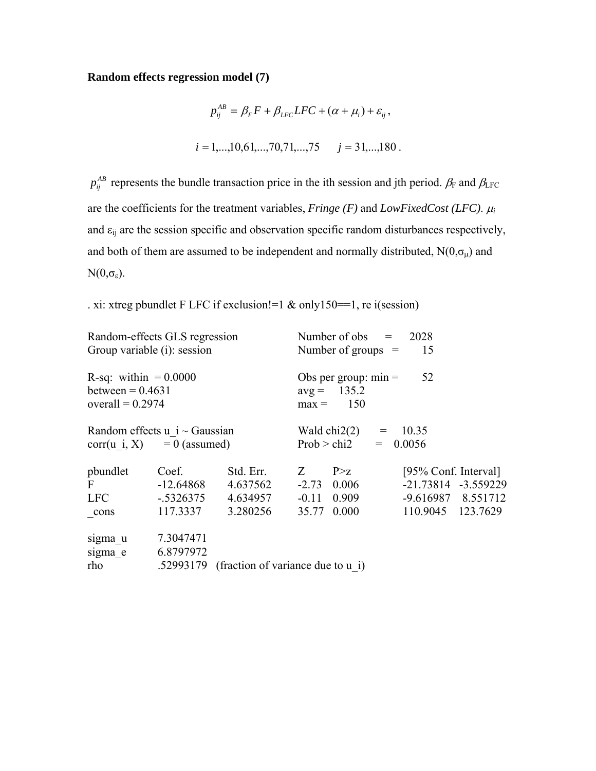# **Random effects regression model (7)**

$$
p_{ij}^{AB} = \beta_F F + \beta_{LFC} LFC + (\alpha + \mu_i) + \varepsilon_{ij},
$$
  

$$
i = 1,...,10,61,...,70,71,...,75 \qquad j = 31,...,180.
$$

 $p_{ij}^{AB}$  represents the bundle transaction price in the ith session and jth period.  $\beta_F$  and  $\beta_{\text{LFC}}$ are the coefficients for the treatment variables, *Fringe (F)* and *LowFixedCost (LFC)*. <sup>μ</sup>*<sup>i</sup>* and  $\varepsilon_{ij}$  are the session specific and observation specific random disturbances respectively, and both of them are assumed to be independent and normally distributed,  $N(0, \sigma_{\mu})$  and  $N(0,\sigma_{\epsilon}).$ 

. xi: xtreg pbundlet F LFC if exclusion!=1 & only150==1, re i(session)

|                                                                      | Random-effects GLS regression |                                             |                                                                 | Number of obs $=$<br>2028             |            |                      |  |  |
|----------------------------------------------------------------------|-------------------------------|---------------------------------------------|-----------------------------------------------------------------|---------------------------------------|------------|----------------------|--|--|
| Group variable (i): session                                          |                               |                                             |                                                                 | Number of groups $=$                  |            | 15                   |  |  |
| R-sq: within $= 0.0000$<br>between = $0.4631$<br>overall = $0.2974$  |                               |                                             | 52<br>Obs per group: $min =$<br>$avg = 135.2$<br>150<br>$max =$ |                                       |            |                      |  |  |
| Random effects $u$ i $\sim$ Gaussian<br>$corr(u i, X) = 0$ (assumed) |                               |                                             |                                                                 | Wald chi2(2) = $10.35$<br>Prob > chi2 | $= 0.0056$ |                      |  |  |
| pbundlet                                                             | Coef.                         | Std. Err.                                   | Z                                                               | P > Z                                 |            | [95% Conf. Interval] |  |  |
| $\mathbf F$                                                          | $-12.64868$                   | 4.637562                                    |                                                                 | $-2.73$ 0.006                         |            | -21.73814 -3.559229  |  |  |
| LFC                                                                  | $-.5326375$                   | 4.634957                                    |                                                                 | $-0.11$ 0.909                         |            | -9.616987 8.551712   |  |  |
| cons                                                                 | 117.3337                      | 3.280256                                    | 35.77                                                           | 0.000                                 |            | 110.9045 123.7629    |  |  |
| sigma u<br>sigma e                                                   | 7.3047471<br>6.8797972        |                                             |                                                                 |                                       |            |                      |  |  |
| rho                                                                  |                               | .52993179 (fraction of variance due to u i) |                                                                 |                                       |            |                      |  |  |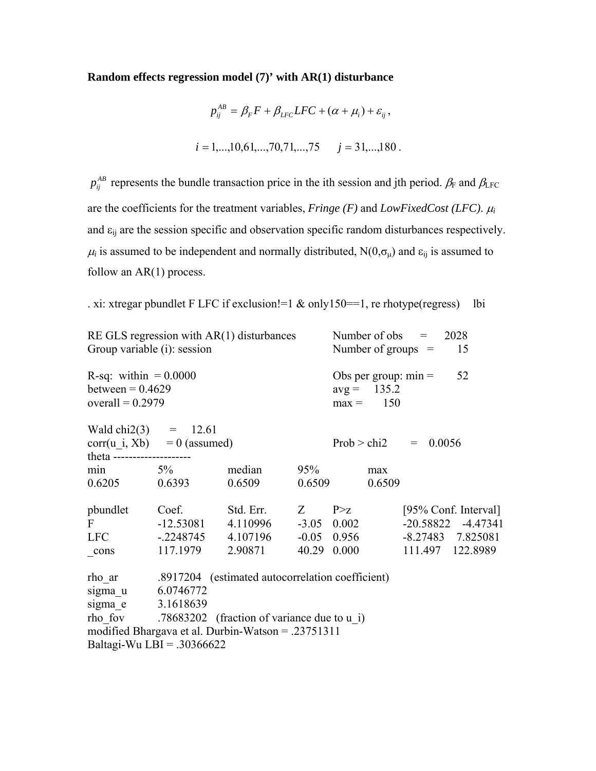## **Random effects regression model (7)' with AR(1) disturbance**

$$
p_{ij}^{AB} = \beta_F F + \beta_{LFC} LFC + (\alpha + \mu_i) + \varepsilon_{ij},
$$
  

$$
i = 1,...,10,61,...,70,71,...,75 \qquad j = 31,...,180.
$$

 $p_{ij}^{AB}$  represents the bundle transaction price in the ith session and jth period.  $\beta_F$  and  $\beta_{\text{LFC}}$ are the coefficients for the treatment variables, *Fringe (F)* and *LowFixedCost (LFC)*. <sup>μ</sup>*<sup>i</sup>* and  $\varepsilon_{ij}$  are the session specific and observation specific random disturbances respectively.  $\mu_i$  is assumed to be independent and normally distributed, N(0, $\sigma_\mu$ ) and  $\epsilon_{ij}$  is assumed to follow an  $AR(1)$  process.

. xi: xtregar pbundlet F LFC if exclusion!=1 & only150==1, re rhotype(regress) lbi

| RE GLS regression with $AR(1)$ disturbances<br>Group variable (i): session                                                                                                                                                     |                               |                                                         |        | Number of obs $=$<br>2028<br>Number of groups $=$<br>15 |                        |                        |  |
|--------------------------------------------------------------------------------------------------------------------------------------------------------------------------------------------------------------------------------|-------------------------------|---------------------------------------------------------|--------|---------------------------------------------------------|------------------------|------------------------|--|
| R-sq: within $= 0.0000$<br>between = $0.4629$<br>overall = $0.2979$                                                                                                                                                            |                               |                                                         |        | $avg = 135.2$<br>$max = 150$                            | Obs per group: $min =$ | 52                     |  |
| Wald chi2(3) = $12.61$<br>theta --------------------                                                                                                                                                                           | $corr(u_i, Xb) = 0$ (assumed) |                                                         |        | Prob > chi2                                             | $= 0.0056$             |                        |  |
| $\min$ 5%                                                                                                                                                                                                                      |                               | median                                                  | 95%    | max                                                     |                        |                        |  |
| 0.6205 0.6393                                                                                                                                                                                                                  |                               | 0.6509                                                  | 0.6509 |                                                         | 0.6509                 |                        |  |
| pbundlet                                                                                                                                                                                                                       | Coef.                         | Std. Err.                                               | Z      | P > Z                                                   |                        | [95% Conf. Interval]   |  |
| $\mathbf{F}$                                                                                                                                                                                                                   |                               | $-12.53081$ $4.110996$ $-3.05$ $0.002$                  |        |                                                         |                        | $-20.58822$ $-4.47341$ |  |
| LFC and the set of the set of the set of the set of the set of the set of the set of the set of the set of the set of the set of the set of the set of the set of the set of the set of the set of the set of the set of the s |                               | $-.2248745$ 4.107196                                    |        | $-0.05$ 0.956                                           |                        | $-8.27483$ 7.825081    |  |
| cons                                                                                                                                                                                                                           | 117.1979                      | 2.90871                                                 | 40.29  | 0.000                                                   |                        | 111.497 122.8989       |  |
|                                                                                                                                                                                                                                |                               | rho ar .8917204 (estimated autocorrelation coefficient) |        |                                                         |                        |                        |  |
| sigma u 6.0746772                                                                                                                                                                                                              |                               |                                                         |        |                                                         |                        |                        |  |
| sigma e 3.1618639                                                                                                                                                                                                              |                               |                                                         |        |                                                         |                        |                        |  |
|                                                                                                                                                                                                                                |                               | rho fov $.78683202$ (fraction of variance due to u i)   |        |                                                         |                        |                        |  |
|                                                                                                                                                                                                                                |                               | modified Bhargava et al. Durbin-Watson = .23751311      |        |                                                         |                        |                        |  |
|                                                                                                                                                                                                                                | Baltagi-Wu LBI = $.30366622$  |                                                         |        |                                                         |                        |                        |  |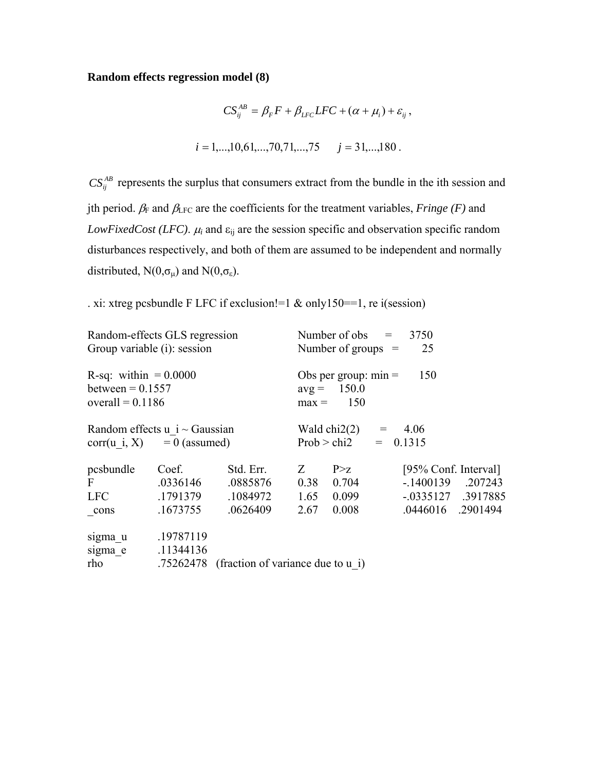### **Random effects regression model (8)**

$$
CS_{ij}^{AB} = \beta_F F + \beta_{LFC} LFC + (\alpha + \mu_i) + \varepsilon_{ij},
$$
  

$$
i = 1,...,10,61,...,70,71,...,75 \qquad j = 31,...,180.
$$

 $CS_{ij}^{AB}$  represents the surplus that consumers extract from the bundle in the ith session and jth period.  $\beta_F$  and  $\beta_{LFC}$  are the coefficients for the treatment variables, *Fringe* (*F*) and *LowFixedCost (LFC).*  $\mu_i$  and  $\varepsilon_{ij}$  are the session specific and observation specific random disturbances respectively, and both of them are assumed to be independent and normally distributed,  $N(0,\sigma_\mu)$  and  $N(0,\sigma_\varepsilon)$ .

. xi: xtreg pcsbundle F LFC if exclusion!=1 & only150==1, re i(session)

| Random-effects GLS regression<br>Group variable (i): session         |                               |                                             | Number of obs $=$<br>3750<br>25<br>Number of groups $=$          |                                                 |                                                             |         |  |
|----------------------------------------------------------------------|-------------------------------|---------------------------------------------|------------------------------------------------------------------|-------------------------------------------------|-------------------------------------------------------------|---------|--|
| R-sq: within $= 0.0000$<br>between = $0.1557$<br>overall = $0.1186$  |                               |                                             | 150<br>Obs per group: $min =$<br>$avg = 150.0$<br>150<br>$max =$ |                                                 |                                                             |         |  |
| Random effects $u$ i $\sim$ Gaussian<br>$corr(u i, X) = 0$ (assumed) |                               |                                             |                                                                  | Wald chi2(2) = $4.06$<br>Prob > chi2 = $0.1315$ |                                                             |         |  |
| pcsbundle<br>F<br>LFC                                                | Coef.<br>.0336146<br>.1791379 | Std. Err.<br>.0885876<br>.1084972           | Z<br>0.38<br>1.65                                                | P > z<br>0.704<br>0.099                         | [95% Conf. Interval]<br>$-.1400139$<br>$-.0335127$ .3917885 | .207243 |  |
| cons                                                                 | .1673755                      | .0626409                                    | 2.67                                                             | 0.008                                           | .0446016. .2901494                                          |         |  |
| sigma u<br>sigma e<br>rho                                            | .19787119<br>.11344136        | .75262478 (fraction of variance due to u i) |                                                                  |                                                 |                                                             |         |  |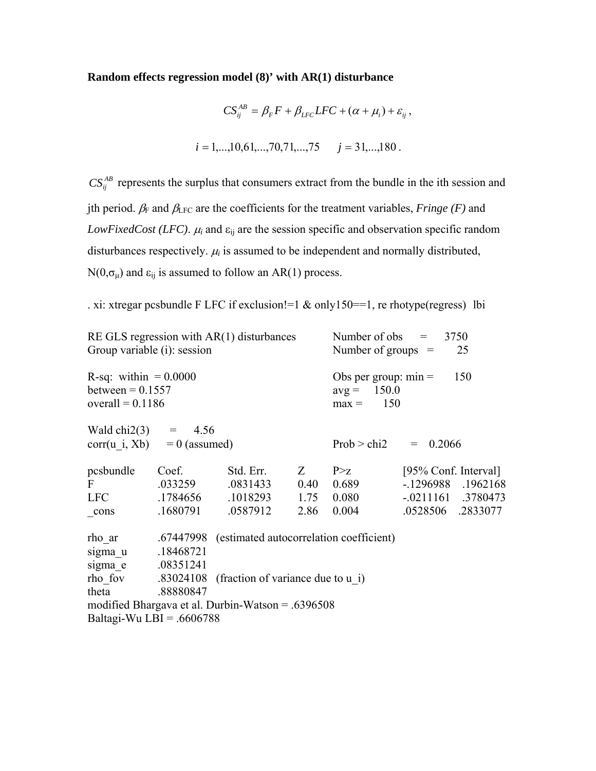## **Random effects regression model (8)' with AR(1) disturbance**

$$
CS_{ij}^{AB} = \beta_F F + \beta_{LFC} LFC + (\alpha + \mu_i) + \varepsilon_{ij},
$$
  

$$
i = 1,...,10,61,...,70,71,...,75 \qquad j = 31,...,180.
$$

 $CS_{ij}^{AB}$  represents the surplus that consumers extract from the bundle in the ith session and jth period.  $\beta_F$  and  $\beta_{LFC}$  are the coefficients for the treatment variables, *Fringe* (*F*) and *LowFixedCost (LFC).*  $\mu_i$  and  $\varepsilon_{ij}$  are the session specific and observation specific random disturbances respectively.  $\mu_i$  is assumed to be independent and normally distributed,  $N(0,\sigma_\mu)$  and  $\varepsilon_{ij}$  is assumed to follow an AR(1) process.

. xi: xtregar pcsbundle F LFC if exclusion!=1 & only150==1, re rhotype(regress) lbi

| RE GLS regression with $AR(1)$ disturbances                         |           |                                                     |                                                                  | Number of obs $=$<br>3750  |                      |                      |  |
|---------------------------------------------------------------------|-----------|-----------------------------------------------------|------------------------------------------------------------------|----------------------------|----------------------|----------------------|--|
| Group variable (i): session                                         |           |                                                     |                                                                  | Number of groups $=$<br>25 |                      |                      |  |
| R-sq: within $= 0.0000$<br>between = $0.1557$<br>overall = $0.1186$ |           |                                                     | Obs per group: $min =$<br>150<br>$avg = 150.0$<br>150<br>$max =$ |                            |                      |                      |  |
| Wald chi2(3) = $4.56$<br>$corr(u i, Xb) = 0$ (assumed)              |           |                                                     |                                                                  | Prob > chi2                | $= 0.2066$           |                      |  |
| pcsbundle                                                           | Coef.     | Std. Err.                                           | Z                                                                | P > Z                      | [95% Conf. Interval] |                      |  |
| $\mathbf{F}$                                                        | .033259   | .0831433                                            | 0.40                                                             | 0.689                      |                      | $-.1296988$ .1962168 |  |
| LFC                                                                 |           | .1784656 .1018293 1.75                              |                                                                  | 0.080                      |                      | $-.0211161$ .3780473 |  |
| cons                                                                | .1680791  | .0587912                                            | 2.86                                                             | 0.004                      |                      | .0528506 .2833077    |  |
| rho ar                                                              |           | .67447998 (estimated autocorrelation coefficient)   |                                                                  |                            |                      |                      |  |
| sigma u                                                             | .18468721 |                                                     |                                                                  |                            |                      |                      |  |
| sigma e                                                             | .08351241 |                                                     |                                                                  |                            |                      |                      |  |
|                                                                     |           | rho fov .83024108 (fraction of variance due to u i) |                                                                  |                            |                      |                      |  |
| theta                                                               | .88880847 |                                                     |                                                                  |                            |                      |                      |  |
|                                                                     |           | modified Bhargava et al. Durbin-Watson $= .6396508$ |                                                                  |                            |                      |                      |  |
| Baltagi-Wu LBI = $.6606788$                                         |           |                                                     |                                                                  |                            |                      |                      |  |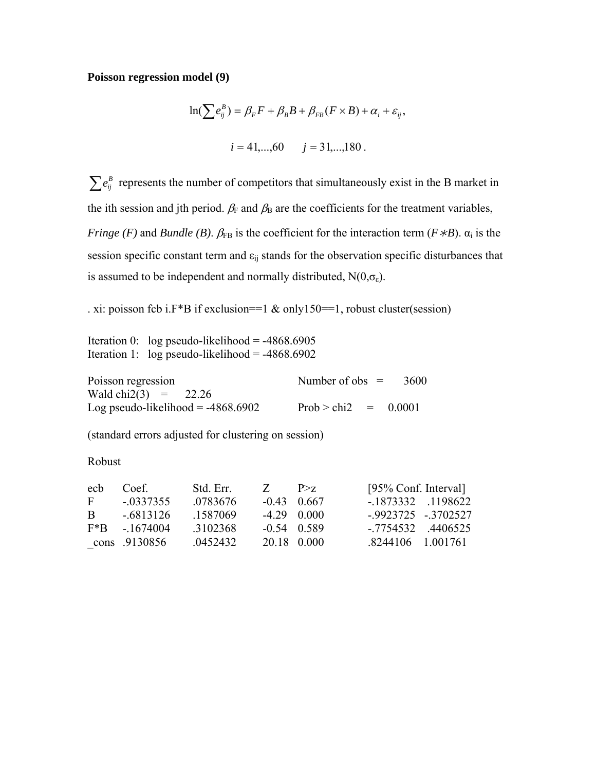#### **Poisson regression model (9)**

$$
\ln(\sum e_{ij}^{B}) = \beta_{F} F + \beta_{B} B + \beta_{FB} (F \times B) + \alpha_{i} + \varepsilon_{ij},
$$
  

$$
i = 41,...,60 \qquad j = 31,...,180.
$$

 $\sum e_{ij}^B$  represents the number of competitors that simultaneously exist in the B market in the ith session and jth period.  $\beta_F$  and  $\beta_B$  are the coefficients for the treatment variables, *Fringe (F)* and *Bundle (B)*.  $\beta_{FB}$  is the coefficient for the interaction term ( $F * B$ ).  $\alpha_i$  is the session specific constant term and  $\varepsilon_{ij}$  stands for the observation specific disturbances that is assumed to be independent and normally distributed,  $N(0,\sigma_{\epsilon})$ .

. xi: poisson fcb i.F\*B if exclusion==1  $\&$  only150==1, robust cluster(session)

Iteration 0: log pseudo-likelihood =  $-4868.6905$ Iteration 1:  $log$  pseudo-likelihood =  $-4868.6902$ 

Poisson regression Number of obs = 3600 Wald chi2(3) =  $22.26$ Log pseudo-likelihood =  $-4868.6902$  Prob > chi2 = 0.0001

(standard errors adjusted for clustering on session)

Robust

| ech          | Coef            | Std Err  | $Z = P > z$   | [95% Conf. Interval] |  |
|--------------|-----------------|----------|---------------|----------------------|--|
| $\mathbf{F}$ | $-0337355$      | 0783676  | $-0.43$ 0.667 | - 1873332 1198622    |  |
| R.           | - 6813126       | -1587069 | $-429000$     | $-9923725 - 3702527$ |  |
|              | $F*B$ - 1674004 | 3102368  | $-0.54$ 0.589 | $-7754532$ $4406525$ |  |
|              | cons .9130856   | 0452432  | 20.18 0.000   | 8244106 1 001761     |  |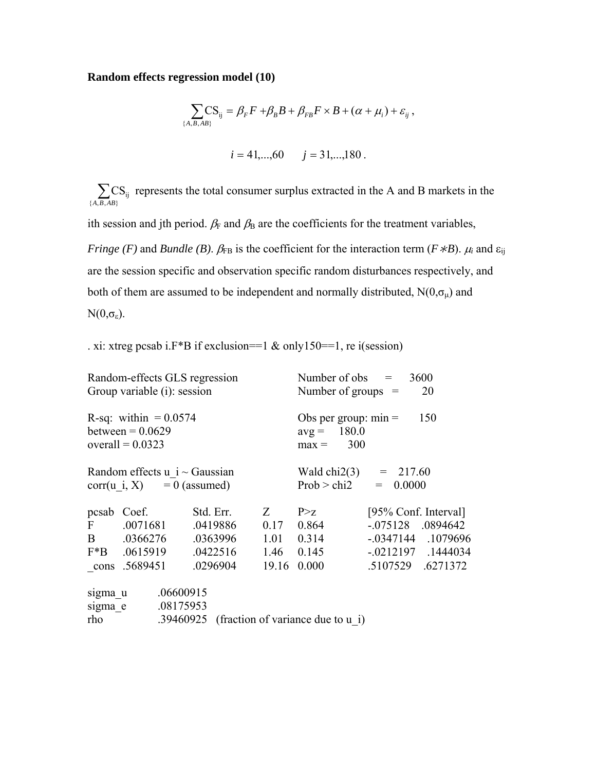## **Random effects regression model (10)**

$$
\sum_{\{A,B,AB\}} \text{CS}_{ij} = \beta_F F + \beta_B B + \beta_{FB} F \times B + (\alpha + \mu_i) + \varepsilon_{ij} ,
$$
  
 $i = 41,...,60 \qquad j = 31,...,180 .$ 

 $\sum_{\{A,B,AB\}}$  $CS_{ij}$  $A$ ,  $B$ ,  $AB$ represents the total consumer surplus extracted in the A and B markets in the

ith session and jth period.  $\beta_F$  and  $\beta_B$  are the coefficients for the treatment variables,

*Fringe (F)* and *Bundle (B)*.  $\beta_{FB}$  is the coefficient for the interaction term (*F* \**B*).  $\mu_i$  and  $\varepsilon_{ij}$ are the session specific and observation specific random disturbances respectively, and both of them are assumed to be independent and normally distributed,  $N(0,\sigma_{\mu})$  and  $N(0,\sigma_{\epsilon}).$ 

. xi: xtreg pcsab i. $F^*B$  if exclusion==1 & only150==1, re i(session)

|              | Random-effects GLS regression<br>Group variable (i): session        |           | Number of obs $=$<br>3600<br>20<br>Number of groups $=$          |                                             |                      |                        |
|--------------|---------------------------------------------------------------------|-----------|------------------------------------------------------------------|---------------------------------------------|----------------------|------------------------|
|              | R-sq: within $= 0.0574$<br>between $= 0.0629$<br>overall = $0.0323$ |           | 150<br>Obs per group: $min =$<br>$avg = 180.0$<br>300<br>$max =$ |                                             |                      |                        |
|              | Random effects $u$ i ~ Gaussian<br>$corr(u i, X) = 0$ (assumed)     |           | Wald chi2(3) = $217.60$<br>Prob > chi2<br>0.0000<br>$=$          |                                             |                      |                        |
|              | pcsab Coef.                                                         | Std. Err. | Z                                                                | P > Z                                       | [95% Conf. Interval] |                        |
| $\mathbf{F}$ | .0071681                                                            | .0419886  | 0.17                                                             | 0.864                                       | $-0.075128$ .0894642 |                        |
| $\mathbf{B}$ | .0366276                                                            | .0363996  | 1.01                                                             | 0.314                                       |                      | $-0.0347144$ . 1079696 |
|              | F*B .0615919                                                        | .0422516  |                                                                  | 1.46 0.145                                  |                      | $-0.0212197$ .1444034  |
|              | cons .5689451                                                       | .0296904  | 19.16                                                            | 0.000                                       | .5107529 .6271372    |                        |
| sigma u      | .06600915                                                           |           |                                                                  |                                             |                      |                        |
| sigma e      | .08175953                                                           |           |                                                                  |                                             |                      |                        |
| rho          |                                                                     |           |                                                                  | .39460925 (fraction of variance due to u i) |                      |                        |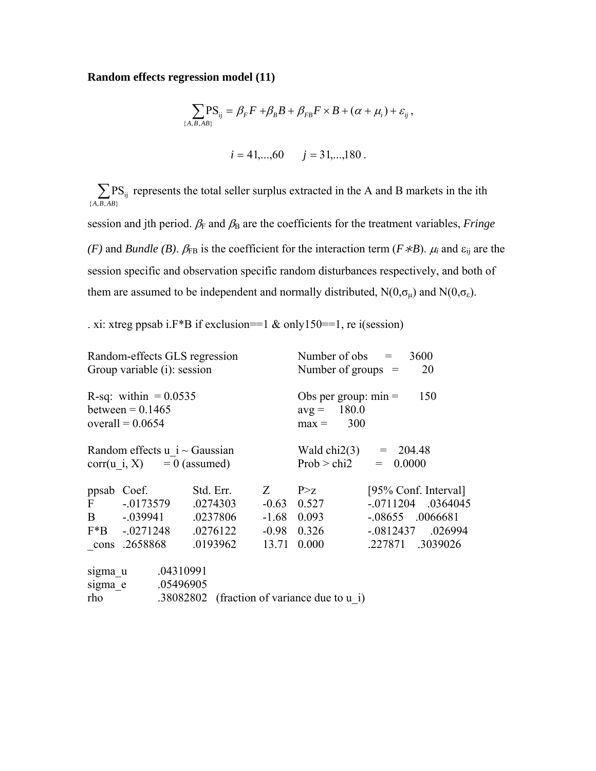## **Random effects regression model (11)**

$$
\sum_{\{A,B,AB\}} PS_{ij} = \beta_F F + \beta_B B + \beta_{FB} F \times B + (\alpha + \mu_i) + \varepsilon_{ij},
$$
  
 $i = 41,...,60 \qquad j = 31,...,180.$ 

 $\sum_{\{A,B,AB\}} P$  $\overline{\mathrm{PS}}_{\mathrm{ij}}$ *A B AB* represents the total seller surplus extracted in the A and B markets in the ith session and jth period.  $\beta_F$  and  $\beta_B$  are the coefficients for the treatment variables, *Fringe* 

*(F)* and *Bundle (B)*.  $\beta_{FB}$  is the coefficient for the interaction term ( $F * B$ ).  $\mu_i$  and  $\varepsilon_{ij}$  are the session specific and observation specific random disturbances respectively, and both of them are assumed to be independent and normally distributed,  $N(0,\sigma_{\mu})$  and  $N(0,\sigma_{\epsilon})$ .

. xi: xtreg ppsab i.  $F^*B$  if exclusion==1 & only150==1, re i(session)

|              | Random-effects GLS regression<br>Group variable (i): session        |                       |                                                                  | Number of obs $=$<br>3600<br>Number of groups $=$<br>20 |                                             |  |  |
|--------------|---------------------------------------------------------------------|-----------------------|------------------------------------------------------------------|---------------------------------------------------------|---------------------------------------------|--|--|
|              | R-sq: within $= 0.0535$<br>between $= 0.1465$<br>overall = $0.0654$ |                       | 150<br>Obs per group: $min =$<br>$avg = 180.0$<br>300<br>$max =$ |                                                         |                                             |  |  |
|              | Random effects $u$ i ~ Gaussian<br>$corr(u i, X) = 0$ (assumed)     |                       | Wald chi2(3) = $204.48$<br>Prob > chi2<br>0.0000<br>$=$          |                                                         |                                             |  |  |
| $\mathbf{F}$ | ppsab Coef.<br>$-0.0173579$                                         | Std. Err.<br>.0274303 | $Z_{\rm c}$                                                      | P > Z<br>$-0.63$ 0.527                                  | [95% Conf. Interval]<br>$-0711204$ .0364045 |  |  |
|              | B - 039941                                                          | .0237806              |                                                                  | $-1.68$ 0.093                                           | $-.08655$ .0066681                          |  |  |
|              | $F*B$ -.0271248                                                     | .0276122              |                                                                  | $-0.98$ 0.326                                           | $-0.0812437$ .026994                        |  |  |
|              | cons .2658868                                                       | .0193962              | 13.71                                                            | 0.000                                                   | .227871 .3039026                            |  |  |
| sigma u      | .04310991                                                           |                       |                                                                  |                                                         |                                             |  |  |
| sigma e      | .05496905                                                           |                       |                                                                  |                                                         |                                             |  |  |
| rho          |                                                                     |                       |                                                                  | .38082802 (fraction of variance due to u i)             |                                             |  |  |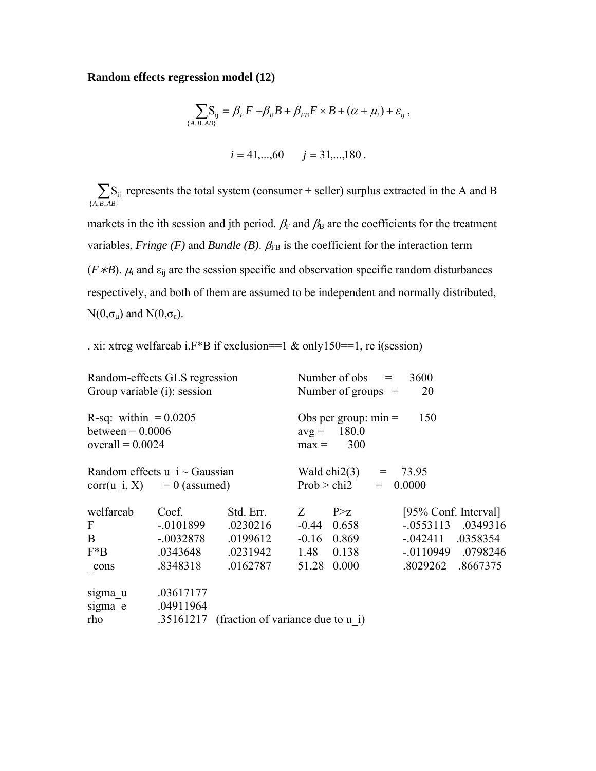### **Random effects regression model (12)**

$$
\sum_{\{A,B,AB\}} S_{ij} = \beta_F F + \beta_B B + \beta_{FB} F \times B + (\alpha + \mu_i) + \varepsilon_{ij},
$$
  
 $i = 41,...,60 \qquad j = 31,...,180.$ 

 $\sum_{\{A,B,AB\}} S_i$  $S_{ij}$ *A B AB* represents the total system (consumer + seller) surplus extracted in the A and B

markets in the ith session and jth period.  $\beta_F$  and  $\beta_B$  are the coefficients for the treatment variables, *Fringe (F)* and *Bundle (B)*.  $\beta_{FB}$  is the coefficient for the interaction term ( $F * B$ ).  $\mu_i$  and  $\varepsilon_{ij}$  are the session specific and observation specific random disturbances respectively, and both of them are assumed to be independent and normally distributed,  $N(0,\sigma_\mu)$  and  $N(0,\sigma_\epsilon)$ .

. xi: xtreg welfareab i.F\*B if exclusion==1 & only150==1, re i(session)

| Random-effects GLS regression                 |             |                                   |                                                | 3600<br>Number of obs<br>$=$ |  |                      |          |
|-----------------------------------------------|-------------|-----------------------------------|------------------------------------------------|------------------------------|--|----------------------|----------|
| Group variable (i): session                   |             |                                   |                                                | Number of groups $=$         |  | 20                   |          |
| R-sq: within $= 0.0205$<br>between $= 0.0006$ |             |                                   | 150<br>Obs per group: $min =$<br>$avg = 180.0$ |                              |  |                      |          |
| overall = $0.0024$                            |             |                                   | 300<br>$max =$                                 |                              |  |                      |          |
| Random effects $u$ i $\sim$ Gaussian          |             |                                   |                                                | Wald $chi2(3)$               |  | $= 73.95$            |          |
| $corr(u i, X) = 0$ (assumed)                  |             |                                   |                                                | Prob > chi2                  |  | $= 0.0000$           |          |
| welfareab                                     | Coef.       | Std. Err.                         | Z                                              | P > Z                        |  | [95% Conf. Interval] |          |
| F                                             | $-.0101899$ | .0230216                          |                                                | $-0.44$ 0.658                |  | $-.0553113$          | .0349316 |
| $\mathbf{B}$                                  | $-.0032878$ | .0199612                          |                                                | $-0.16$ 0.869                |  | $-0.042411$ .0358354 |          |
| $F^*B$                                        | .0343648    | .0231942                          |                                                | 1.48 0.138                   |  | $-0110949$           | .0798246 |
| cons                                          | .8348318    | .0162787                          | 51.28                                          | 0.000                        |  | .8029262             | .8667375 |
| sigma u                                       | .03617177   |                                   |                                                |                              |  |                      |          |
| sigma e                                       | .04911964   |                                   |                                                |                              |  |                      |          |
| rho                                           | .35161217   | (fraction of variance due to u i) |                                                |                              |  |                      |          |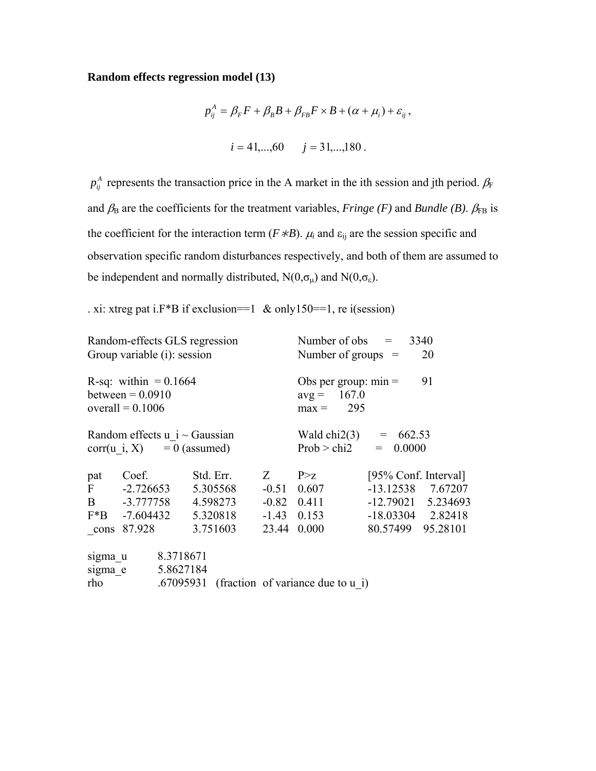### **Random effects regression model (13)**

$$
p_{ij}^{A} = \beta_{F}F + \beta_{B}B + \beta_{FB}F \times B + (\alpha + \mu_{i}) + \varepsilon_{ij},
$$
  
\n
$$
i = 41,...,60 \qquad j = 31,...,180.
$$

 $p_{ij}^A$  represents the transaction price in the A market in the ith session and jth period.  $\beta_F$ and  $\beta_B$  are the coefficients for the treatment variables, *Fringe (F)* and *Bundle (B)*.  $\beta_{FB}$  is the coefficient for the interaction term ( $F * B$ ).  $\mu_i$  and  $\varepsilon_{ij}$  are the session specific and observation specific random disturbances respectively, and both of them are assumed to be independent and normally distributed,  $N(0,\sigma_\mu)$  and  $N(0,\sigma_\varepsilon)$ .

. xi: xtreg pat i.F\*B if exclusion==1 & only150==1, re i(session)

| Random-effects GLS regression<br>Group variable (i): session        |                        |                        |           |          |                                                            | Number of obs $=$<br>3340<br>20<br>Number of groups $=$         |          |                      |  |
|---------------------------------------------------------------------|------------------------|------------------------|-----------|----------|------------------------------------------------------------|-----------------------------------------------------------------|----------|----------------------|--|
| R-sq: within $= 0.1664$<br>between $= 0.0910$<br>overall = $0.1006$ |                        |                        |           |          |                                                            | 91<br>Obs per group: $min =$<br>167.0<br>$avg =$<br>$max = 295$ |          |                      |  |
| Random effects $u$ i ~ Gaussian<br>$corr(u i, X) = 0$ (assumed)     |                        |                        |           |          | Wald chi2(3) $=$<br>662.53<br>Prob > chi2<br>0.0000<br>$=$ |                                                                 |          |                      |  |
| pat                                                                 | Coef.                  |                        | Std. Err. |          | Z                                                          | P > Z                                                           |          | [95% Conf. Interval] |  |
| $\mathbf{F}$                                                        | $-2.726653$            |                        |           | 5.305568 | $-0.51$                                                    | 0.607                                                           |          | $-13.12538$ 7.67207  |  |
| $\mathbf{B}$                                                        | -3.777758              |                        |           | 4.598273 | $-0.82$ 0.411                                              |                                                                 |          | $-12.79021$ 5.234693 |  |
| $F^*B$                                                              | $-7.604432$ $5.320818$ |                        |           |          |                                                            | $-1.43$ 0.153                                                   |          | $-18.03304$ 2.82418  |  |
| cons                                                                | 87.928                 |                        |           | 3.751603 | 23.44                                                      | 0.000                                                           | 80.57499 | 95.28101             |  |
| sigma u<br>sigma e<br>rho                                           |                        | 8.3718671<br>5.8627184 |           |          |                                                            | .67095931 (fraction of variance due to u i)                     |          |                      |  |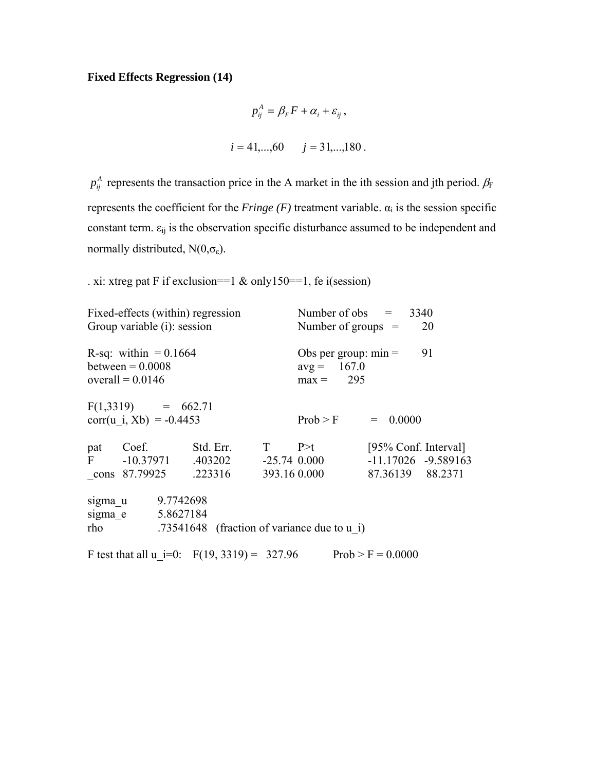# **Fixed Effects Regression (14)**

$$
p_{ij}^{A} = \beta_{F} F + \alpha_{i} + \varepsilon_{ij},
$$
  

$$
i = 41, ..., 60 \qquad j = 31, ..., 180.
$$

 $p_{ij}^A$  represents the transaction price in the A market in the ith session and jth period.  $\beta_F$ represents the coefficient for the *Fringe (F)* treatment variable.  $\alpha_i$  is the session specific constant term.  $\varepsilon_{ij}$  is the observation specific disturbance assumed to be independent and normally distributed,  $N(0, \sigma_{\epsilon})$ .

. xi: xtreg pat F if exclusion==1 & only150==1, fe i(session)

|     | Group variable (i): session                                         | Fixed-effects (within) regression                                                            | Number of obs $= 3340$<br>20<br>Number of groups $=$         |                                          |                         |  |
|-----|---------------------------------------------------------------------|----------------------------------------------------------------------------------------------|--------------------------------------------------------------|------------------------------------------|-------------------------|--|
|     | R-sq: within $= 0.1664$<br>between $= 0.0008$<br>overall = $0.0146$ |                                                                                              | 91<br>Obs per group: $min =$<br>$avg = 167.0$<br>$max = 295$ |                                          |                         |  |
|     | $F(1,3319) = 662.71$<br>corr(u i, Xb) = $-0.4453$                   |                                                                                              | $Prob > F$ = 0.0000                                          |                                          |                         |  |
|     |                                                                     | pat Coef. Std. Err. T P>t<br>F $-10.37971$ $.403202$ $-25.74$ 0.000<br>cons 87.79925 .223316 | 393.16 0.000                                                 | [95% Conf. Interval]<br>87.36139 88.2371 | $-11.17026$ $-9.589163$ |  |
| rho | sigma u 9.7742698<br>sigma e 5.8627184                              | .73541648 (fraction of variance due to u i)                                                  |                                                              |                                          |                         |  |
|     |                                                                     | F test that all u i=0: $F(19, 3319) = 327.96$ Prob > F = 0.0000                              |                                                              |                                          |                         |  |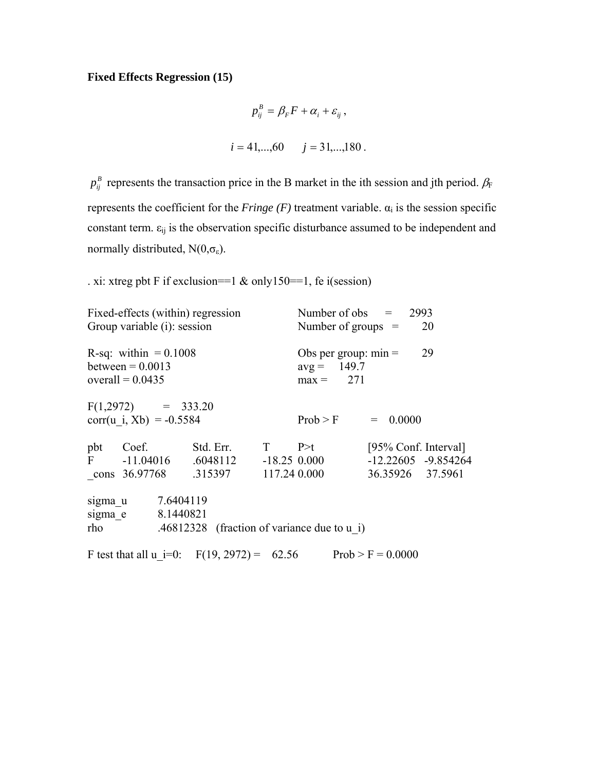# **Fixed Effects Regression (15)**

$$
p_{ij}^{B} = \beta_{F} F + \alpha_{i} + \varepsilon_{ij},
$$
  

$$
i = 41,...,60 \qquad j = 31,...,180.
$$

 $p_{ij}^B$  represents the transaction price in the B market in the ith session and jth period.  $\beta_F$ represents the coefficient for the *Fringe (F)* treatment variable.  $\alpha_i$  is the session specific constant term.  $\varepsilon_{ij}$  is the observation specific disturbance assumed to be independent and normally distributed,  $N(0, \sigma_{\epsilon})$ .

. xi: xtreg pbt F if exclusion==1 & only150==1, fe i(session)

|         | Fixed-effects (within) regression<br>Group variable (i): session    |                                                 |                                                              | Number of obs $= 2993$<br>Number of groups $=$<br>20 |                      |                         |  |
|---------|---------------------------------------------------------------------|-------------------------------------------------|--------------------------------------------------------------|------------------------------------------------------|----------------------|-------------------------|--|
|         | R-sq: within $= 0.1008$<br>between $= 0.0013$<br>overall = $0.0435$ |                                                 | 29<br>Obs per group: $min =$<br>$avg = 149.7$<br>$max = 271$ |                                                      |                      |                         |  |
|         | $F(1,2972) = 333.20$<br>corr(u i, Xb) = $-0.5584$                   |                                                 |                                                              | Prob > F                                             | $= 0.0000$           |                         |  |
| pbt     | Coef. Std. Err. T P>t                                               |                                                 |                                                              |                                                      | [95% Conf. Interval] |                         |  |
|         | F $-11.04016$ $.6048112$ $-18.250.000$                              |                                                 |                                                              |                                                      |                      | $-12.22605$ $-9.854264$ |  |
|         | cons 36.97768 .315397 117.24 0.000                                  |                                                 |                                                              |                                                      | 36.35926 37.5961     |                         |  |
| sigma u | 7.6404119                                                           |                                                 |                                                              |                                                      |                      |                         |  |
|         | sigma e 8.1440821                                                   |                                                 |                                                              |                                                      |                      |                         |  |
| rho     |                                                                     | .46812328 (fraction of variance due to $\mu$ i) |                                                              |                                                      |                      |                         |  |
|         | F test that all u i=0: $F(19, 2972) = 62.56$ Prob > F = 0.0000      |                                                 |                                                              |                                                      |                      |                         |  |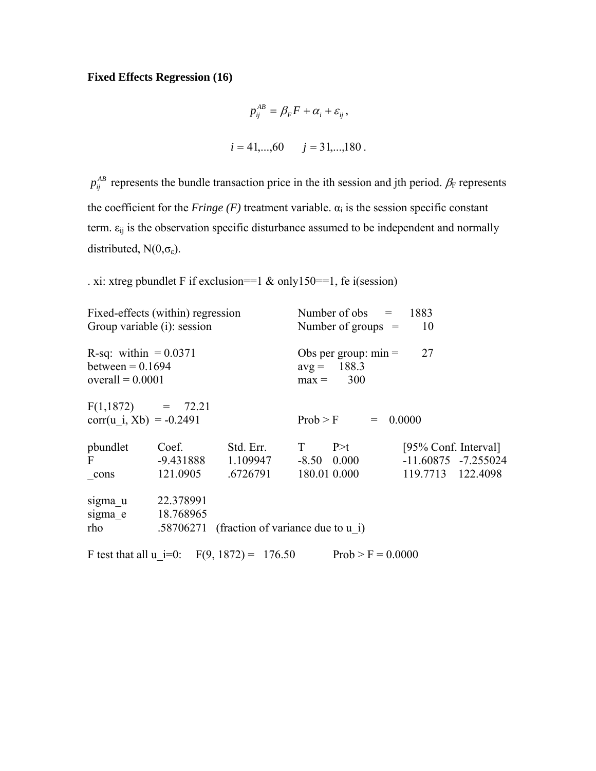# **Fixed Effects Regression (16)**

$$
p_{ij}^{AB} = \beta_F F + \alpha_i + \varepsilon_{ij},
$$
  
\n $i = 41,...,60 \qquad j = 31,...,180.$ 

 $p_{ij}^{AB}$  represents the bundle transaction price in the ith session and jth period.  $\beta_F$  represents the coefficient for the *Fringe* (*F*) treatment variable.  $\alpha_i$  is the session specific constant term.  $\varepsilon_{ij}$  is the observation specific disturbance assumed to be independent and normally distributed,  $N(0,\sigma_{\epsilon})$ .

. xi: xtreg pbundlet F if exclusion==1  $\&$  only150==1, fe i(session)

| Fixed-effects (within) regression<br>Group variable (i): session    |                        |                                              | Number of obs $= 1883$<br>10<br>Number of groups $=$                      |                     |                                                                      |  |  |
|---------------------------------------------------------------------|------------------------|----------------------------------------------|---------------------------------------------------------------------------|---------------------|----------------------------------------------------------------------|--|--|
| R-sq: within $= 0.0371$<br>between $= 0.1694$<br>overall $= 0.0001$ |                        |                                              | 27<br>Obs per group: $min =$<br>$avg = 188.3$<br>300<br>$max =$           |                     |                                                                      |  |  |
| $F(1,1872) = 72.21$<br>corr(u i, Xb) = $-0.2491$                    |                        |                                              | $Prob > F$ = 0.0000                                                       |                     |                                                                      |  |  |
| pbundlet<br>$\mathbf{F}$<br>cons                                    | Coef.<br>121.0905      | Std. Err.<br>.6726791                        | $T \t\t\t P \geq t$<br>$-9.431888$ 1.109947 $-8.50$ 0.000<br>180.01 0.000 |                     | [95% Conf. Interval]<br>$-11.60875$ $-7.255024$<br>119.7713 122.4098 |  |  |
| sigma u<br>sigma e<br>rho                                           | 22.378991<br>18.768965 |                                              | .58706271 (fraction of variance due to u i)                               |                     |                                                                      |  |  |
|                                                                     |                        | F test that all u i=0: $F(9, 1872) = 176.50$ |                                                                           | $Prob > F = 0.0000$ |                                                                      |  |  |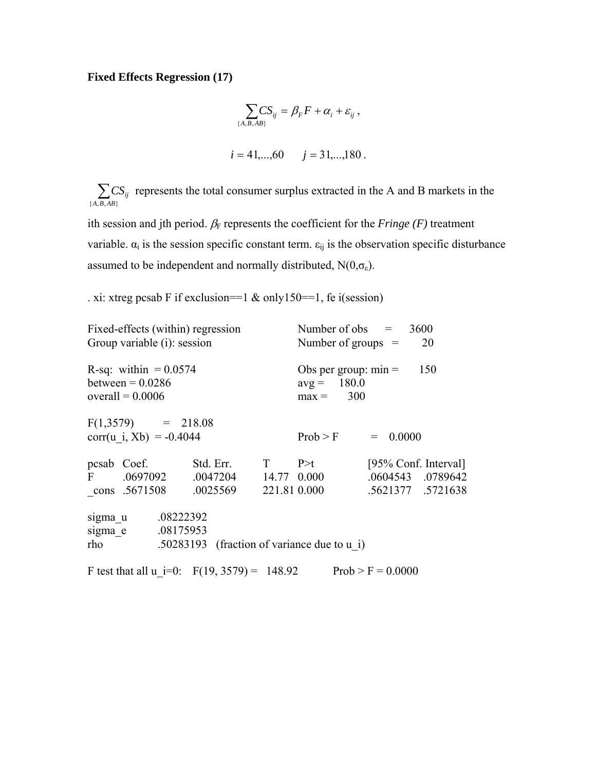# **Fixed Effects Regression (17)**

$$
\sum_{\{A,B,AB\}} CS_{ij} = \beta_F F + \alpha_i + \varepsilon_{ij} ,
$$
  
 $i = 41,...,60 \qquad j = 31,...,180 .$ 

 $\sum_{\{A,B,AB\}} C$  $CS_{ij}$  represents the total consumer surplus extracted in the A and B markets in the

ith session and jth period.  $\beta_F$  represents the coefficient for the *Fringe (F)* treatment variable.  $\alpha_i$  is the session specific constant term.  $\varepsilon_{ij}$  is the observation specific disturbance assumed to be independent and normally distributed,  $N(0,\sigma_{\epsilon})$ .

. xi: xtreg pcsab F if exclusion==1 & only150==1, fe i(session)

| Fixed-effects (within) regression<br>Group variable (i): session         | Number of obs $= 3600$<br>Number of groups $=$<br>20 |  |                                                               |                                                                |  |  |
|--------------------------------------------------------------------------|------------------------------------------------------|--|---------------------------------------------------------------|----------------------------------------------------------------|--|--|
| R-sq: within $= 0.0574$<br>between $= 0.0286$<br>overall = $0.0006$      |                                                      |  | Obs per group: $min =$<br>150<br>$avg = 180.0$<br>$max = 300$ |                                                                |  |  |
| $F(1,3579) = 218.08$<br>corr(u i, Xb) = $-0.4044$                        |                                                      |  | Prob > F                                                      | $= 0.0000$                                                     |  |  |
| pcsab Coef.<br>F .0697092 .0047204 14.77 0.000<br>cons .5671508 .0025569 | Std. Err. $T \t P \geq t$                            |  | 221.81 0.000                                                  | [95% Conf. Interval]<br>.0604543 .0789642<br>.5621377 .5721638 |  |  |
| .08222392<br>sigma u<br>.08175953<br>sigma e<br>rho                      |                                                      |  | .50283193 (fraction of variance due to u i)                   |                                                                |  |  |
| F test that all u i=0: $F(19, 3579) = 148.92$                            |                                                      |  |                                                               | $Prob > F = 0.0000$                                            |  |  |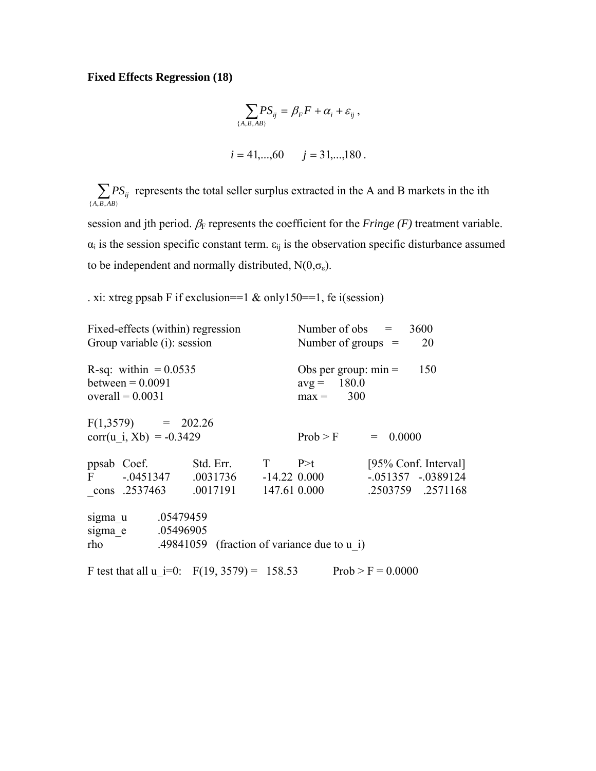#### **Fixed Effects Regression (18)**

$$
\sum_{\{A,B,AB\}} PS_{ij} = \beta_F F + \alpha_i + \varepsilon_{ij},
$$
  
 $i = 41,...,60 \qquad j = 31,...,180.$ 

 $\sum_{\{A,B,AB\}} P$  $PS_{ij}$  represents the total seller surplus extracted in the A and B markets in the ith

session and jth period.  $\beta_F$  represents the coefficient for the *Fringe (F)* treatment variable.  $\alpha_i$  is the session specific constant term.  $\varepsilon_{ij}$  is the observation specific disturbance assumed to be independent and normally distributed,  $N(0,\sigma_{\epsilon})$ .

. xi: xtreg ppsab F if exclusion==1  $\&$  only150==1, fe i(session)

```
Fixed-effects (within) regression Number of obs = 3600
Group variable (i): session Number of groups = 20
R-sq: within = 0.0535 Obs per group: min = 150between = 0.0091 avg = 180.0\text{overall} = 0.0031 max = 300
F(1,3579) = 202.26corr(u i, Xb) = -0.3429 Prob > F = 0.0000
ppsab Coef. Std. Err. T P>t [95% Conf. Interval]
F -.0451347 .0031736 -14.22 0.000 -.051357 -.0389124 
_cons .2537463 .0017191 147.61 0.000 .2503759 .2571168 
sigma u .05479459
sigma e .05496905
rho .49841059 (fraction of variance due to u_i)
F test that all u i=0: F(19, 3579) = 158.53 Prob > F = 0.0000
```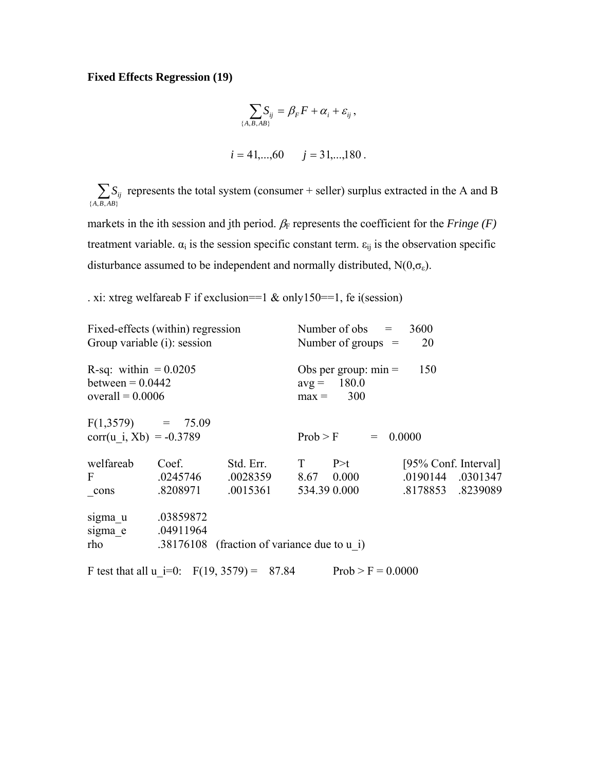# **Fixed Effects Regression (19)**

$$
\sum_{\{A,B,AB\}} S_{ij} = \beta_F F + \alpha_i + \varepsilon_{ij},
$$
  

$$
i = 41,...,60 \qquad j = 31,...,180.
$$

 $\sum_{\{A,B,AB\}} S_i$  $S_{ij}$  represents the total system (consumer + seller) surplus extracted in the A and B

markets in the ith session and jth period.  $\beta_F$  represents the coefficient for the *Fringe* (*F*) treatment variable.  $\alpha_i$  is the session specific constant term.  $\varepsilon_{ij}$  is the observation specific disturbance assumed to be independent and normally distributed,  $N(0,\sigma_{\varepsilon})$ .

. xi: xtreg welfareab F if exclusion==1 & only150==1, fe i(session)

| Fixed-effects (within) regression<br>Group variable (i): session |                                              | Number of obs $=$<br>3600<br>Number of groups $=$<br>20 |                     |                     |            |                      |  |                         |
|------------------------------------------------------------------|----------------------------------------------|---------------------------------------------------------|---------------------|---------------------|------------|----------------------|--|-------------------------|
|                                                                  |                                              |                                                         |                     |                     |            |                      |  | R-sq: within $= 0.0205$ |
| between $= 0.0442$                                               |                                              | $avg = 180.0$                                           |                     |                     |            |                      |  |                         |
| overall = $0.0006$                                               |                                              |                                                         |                     | $max = 300$         |            |                      |  |                         |
| $F(1,3579) = 75.09$                                              |                                              |                                                         |                     |                     |            |                      |  |                         |
| corr(u i, Xb) = $-0.3789$                                        |                                              |                                                         |                     | Prob > F            | $= 0.0000$ |                      |  |                         |
| welfareab                                                        | Coef.                                        | Std. Err.                                               | $T \qquad P \geq t$ |                     |            | [95% Conf. Interval] |  |                         |
| $\mathbf{F}$                                                     | .0245746                                     | $0.0028359$ $8.67$ $0.000$                              |                     |                     |            | .0190144 .0301347    |  |                         |
| $_{\rm cons}$                                                    | .8208971                                     | .0015361                                                |                     | 534.39 0.000        |            | .8178853 .8239089    |  |                         |
| sigma u                                                          | .03859872                                    |                                                         |                     |                     |            |                      |  |                         |
| sigma e                                                          | .04911964                                    |                                                         |                     |                     |            |                      |  |                         |
| rho                                                              |                                              | .38176108 (fraction of variance due to u i)             |                     |                     |            |                      |  |                         |
|                                                                  | F test that all u i=0: $F(19, 3579) = 87.84$ |                                                         |                     | $Prob > F = 0.0000$ |            |                      |  |                         |